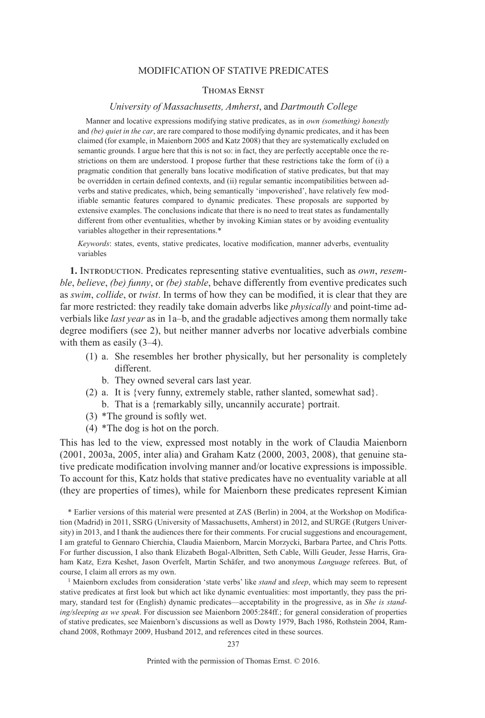# MODIFICATION OF STATIVE PREDICATES

### Thomas Ernst

### *University of Massachusetts, Amherst*, and *Dartmouth College*

Manner and locative expressions modifying stative predicates, as in *own (something) honestly* and *(be) quiet in the car*, are rare compared to those modifying dynamic predicates, and it has been claimed (for example, in Maienborn 2005 and Katz 2008) that they are systematically excluded on semantic grounds. I argue here that this is not so: in fact, they are perfectly acceptable once the restrictions on them are understood. I propose further that these restrictions take the form of (i) a pragmatic condition that generally bans locative modification of stative predicates, but that may be overridden in certain defined contexts, and (ii) regular semantic incompatibilities between adverbs and stative predicates, which, being semantically 'impoverished', have relatively few modifiable semantic features compared to dynamic predicates. These proposals are supported by extensive examples. The conclusions indicate that there is no need to treat states as fundamentally different from other eventualities, whether by invoking Kimian states or by avoiding eventuality variables altogether in their representations.\*

*Keywords*: states, events, stative predicates, locative modification, manner adverbs, eventuality variables

**1.** Introduction. Predicates representing stative eventualities, such as *own*, *resemble*, *believe*, *(be) funny*, or *(be) stable*, behave differently from eventive predicates such as *swim*, *collide*, or *twist*. In terms of how they can be modified, it is clear that they are far more restricted: they readily take domain adverbs like *physically* and point-time adverbials like *last year* as in 1a–b, and the gradable adjectives among them normally take degree modifiers (see 2), but neither manner adverbs nor locative adverbials combine with them as easily (3–4).

- (1) a. She resembles her brother physically, but her personality is completely different.
	- b. They owned several cars last year.
- (2) a. It is {very funny, extremely stable, rather slanted, somewhat sad}.
	- b. That is a {remarkably silly, uncannily accurate} portrait.
- (3) \*The ground is softly wet.
- (4) \*The dog is hot on the porch.

This has led to the view, expressed most notably in the work of Claudia Maienborn (2001, 2003a, 2005, inter alia) and Graham Katz (2000, 2003, 2008), that genuine stative predicate modification involving manner and/or locative expressions is impossible. To account for this, Katz holds that stative predicates have no eventuality variable at all (they are properties of times), while for Maienborn these predicates represent Kimian

\* Earlier versions of this material were presented at ZAS (Berlin) in 2004, at the Workshop on Modification (Madrid) in 2011, SSRG (University of Massachusetts, Amherst) in 2012, and SURGE (Rutgers University) in 2013, and I thank the audiences there for their comments. For crucial suggestions and encouragement, I am grateful to Gennaro Chierchia, Claudia Maienborn, Marcin Morzycki, Barbara Partee, and Chris Potts. For further discussion, I also thank Elizabeth Bogal-Albritten, Seth Cable, Willi Geuder, Jesse Harris, Graham Katz, Ezra Keshet, Jason Overfelt, Martin Schäfer, and two anonymous *Language* referees. But, of course, I claim all errors as my own.

<sup>1</sup> Maienborn excludes from consideration 'state verbs' like *stand* and *sleep*, which may seem to represent stative predicates at first look but which act like dynamic eventualities: most importantly, they pass the primary, standard test for (English) dynamic predicates—acceptability in the progressive, as in *She is standing/sleeping as we speak*. For discussion see Maienborn 2005:284ff.; for general consideration of properties of stative predicates, see Maienborn's discussions as well as Dowty 1979, Bach 1986, Rothstein 2004, Ramchand 2008, Rothmayr 2009, Husband 2012, and references cited in these sources.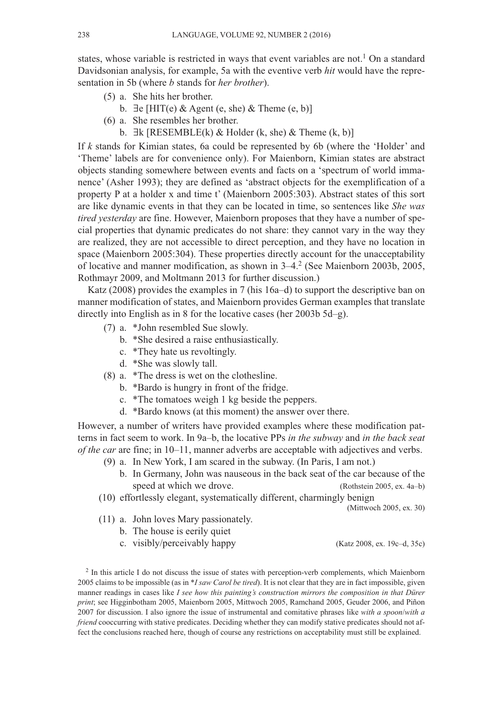states, whose variable is restricted in ways that event variables are not.<sup>1</sup> On a standard Davidsonian analysis, for example, 5a with the eventive verb *hit* would have the representation in 5b (where *b* stands for *her brother*).

- (5) a. She hits her brother.
	- b.  $\exists e$  [HIT(e) & Agent (e, she) & Theme (e, b)]
- (6) a. She resembles her brother.
	- b. ∃k [RESEMBLE(k) & Holder (k, she) & Theme (k, b)]

If *k* stands for Kimian states, 6a could be represented by 6b (where the 'Holder' and 'Theme' labels are for convenience only). For Maienborn, Kimian states are abstract objects standing somewhere between events and facts on a 'spectrum of world immanence' (Asher 1993); they are defined as 'abstract objects for the exemplification of a property P at a holder x and time t' (Maienborn 2005:303). Abstract states of this sort are like dynamic events in that they can be located in time, so sentences like *She was tired yesterday* are fine. However, Maienborn proposes that they have a number of special properties that dynamic predicates do not share: they cannot vary in the way they are realized, they are not accessible to direct perception, and they have no location in space (Maienborn 2005:304). These properties directly account for the unacceptability of locative and manner modification, as shown in 3–4. <sup>2</sup> (See Maienborn 2003b, 2005, Rothmayr 2009, and Moltmann 2013 for further discussion.)

Katz (2008) provides the examples in 7 (his 16a–d) to support the descriptive ban on manner modification of states, and Maienborn provides German examples that translate directly into English as in 8 for the locative cases (her 2003b 5d–g).

- (7) a. \*John resembled Sue slowly.
	- b. \*She desired a raise enthusiastically.
	- c. \*They hate us revoltingly.
	- d. \*She was slowly tall.
- (8) a. \*The dress is wet on the clothesline.
	- b. \*Bardo is hungry in front of the fridge.
	- c. \*The tomatoes weigh 1 kg beside the peppers.
	- d. \*Bardo knows (at this moment) the answer over there.

However, a number of writers have provided examples where these modification patterns in fact seem to work. In 9a–b, the locative PPs *in the subway* and *in the back seat of the car* are fine; in 10–11, manner adverbs are acceptable with adjectives and verbs.

- (9) a. In New York, I am scared in the subway. (In Paris, I am not.)
	- b. In Germany, John was nauseous in the back seat of the car because of the speed at which we drove. (Rothstein 2005, ex. 4a–b)
- (10) effortlessly elegant, systematically different, charmingly benign

(Mittwoch 2005, ex. 30)

- (11) a. John loves Mary passionately.
	- b. The house is eerily quiet
	- c. visibly/perceivably happy (Katz 2008, ex. 19c–d, 35c)

<sup>2</sup> In this article I do not discuss the issue of states with perception-verb complements, which Maienborn 2005 claims to be impossible (as in \**I saw Carol be tired*). It is not clear that they are in fact impossible, given manner readings in cases like *I see how this painting's construction mirrors the composition in that Dürer print*; see Higginbotham 2005, Maienborn 2005, Mittwoch 2005, Ramchand 2005, Geuder 2006, and Piñon 2007 for discussion. I also ignore the issue of instrumental and comitative phrases like *with a spoon*/*with a friend* cooccurring with stative predicates. Deciding whether they can modify stative predicates should not affect the conclusions reached here, though of course any restrictions on acceptability must still be explained.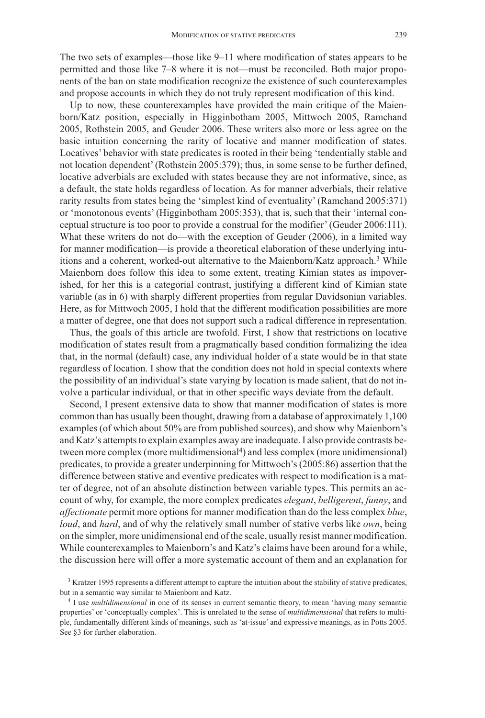The two sets of examples—those like 9–11 where modification of states appears to be permitted and those like 7–8 where it is not—must be reconciled. Both major proponents of the ban on state modification recognize the existence of such counterexamples and propose accounts in which they do not truly represent modification of this kind.

Up to now, these counterexamples have provided the main critique of the Maienborn/Katz position, especially in Higginbotham 2005, Mittwoch 2005, Ramchand 2005, Rothstein 2005, and Geuder 2006. These writers also more or less agree on the basic intuition concerning the rarity of locative and manner modification of states. Locatives' behavior with state predicates is rooted in their being 'tendentially stable and not location dependent'(Rothstein 2005:379); thus, in some sense to be further defined, locative adverbials are excluded with states because they are not informative, since, as a default, the state holds regardless of location. As for manner adverbials, their relative rarity results from states being the 'simplest kind of eventuality' (Ramchand 2005:371) or 'monotonous events' (Higginbotham 2005:353), that is, such that their 'internal conceptual structure is too poor to provide a construal for the modifier'(Geuder 2006:111). What these writers do not do—with the exception of Geuder (2006), in a limited way for manner modification—is provide a theoretical elaboration of these underlying intuitions and a coherent, worked-out alternative to the Maienborn/Katz approach.<sup>3</sup> While Maienborn does follow this idea to some extent, treating Kimian states as impoverished, for her this is a categorial contrast, justifying a different kind of Kimian state variable (as in 6) with sharply different properties from regular Davidsonian variables. Here, as for Mittwoch 2005, I hold that the different modification possibilities are more a matter of degree, one that does not support such a radical difference in representation.

Thus, the goals of this article are twofold. First, I show that restrictions on locative modification of states result from a pragmatically based condition formalizing the idea that, in the normal (default) case, any individual holder of a state would be in that state regardless of location. I show that the condition does not hold in special contexts where the possibility of an individual's state varying by location is made salient, that do not involve a particular individual, or that in other specific ways deviate from the default.

Second, I present extensive data to show that manner modification of states is more common than has usually been thought, drawing from a database of approximately 1,100 examples (of which about 50% are from published sources), and show why Maienborn's and Katz's attempts to explain examples away are inadequate. I also provide contrasts between more complex (more multidimensional 4) and less complex (more unidimensional) predicates, to provide a greater underpinning for Mittwoch's (2005:86) assertion that the difference between stative and eventive predicates with respect to modification is a matter of degree, not of an absolute distinction between variable types. This permits an account of why, for example, the more complex predicates *elegant*, *belligerent*, *funny*, and *affectionate* permit more optionsfor manner modification than do the less complex *blue*, *loud*, and *hard*, and of why the relatively small number of stative verbs like *own*, being on the simpler, more unidimensional end of the scale, usually resist manner modification. While counterexamples to Maienborn's and Katz's claims have been around for a while, the discussion here will offer a more systematic account of them and an explanation for

<sup>&</sup>lt;sup>3</sup> Kratzer 1995 represents a different attempt to capture the intuition about the stability of stative predicates, but in a semantic way similar to Maienborn and Katz.

<sup>4</sup> I use *multidimensional* in one of its senses in current semantic theory, to mean 'having many semantic properties' or 'conceptually complex'. This is unrelated to the sense of *multidimensional* that refers to multiple, fundamentally different kinds of meanings, such as 'at-issue' and expressive meanings, as in Potts 2005. See §3 for further elaboration.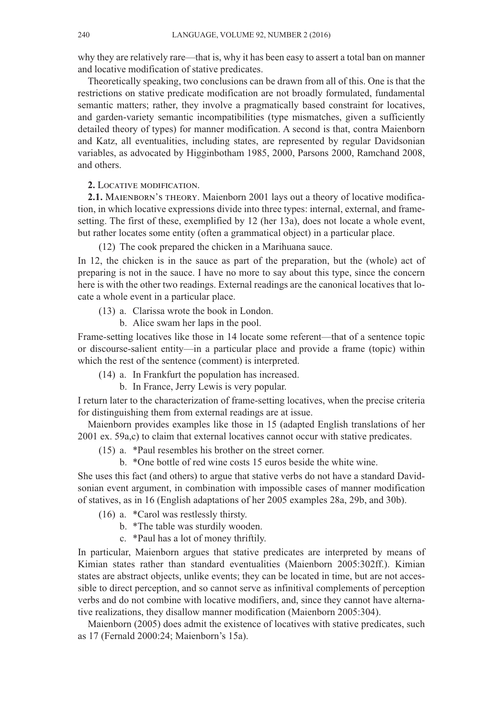why they are relatively rare—that is, why it has been easy to assert a total ban on manner and locative modification of stative predicates.

Theoretically speaking, two conclusions can be drawn from all of this. One is that the restrictions on stative predicate modification are not broadly formulated, fundamental semantic matters; rather, they involve a pragmatically based constraint for locatives, and garden-variety semantic incompatibilities (type mismatches, given a sufficiently detailed theory of types) for manner modification. A second is that, contra Maienborn and Katz, all eventualities, including states, are represented by regular Davidsonian variables, as advocated by Higginbotham 1985, 2000, Parsons 2000, Ramchand 2008, and others.

**2.** Locative modification.

**2.1.** MAIENBORN'S THEORY. Maienborn 2001 lays out a theory of locative modification, in which locative expressions divide into three types: internal, external, and framesetting. The first of these, exemplified by 12 (her 13a), does not locate a whole event, but rather locates some entity (often a grammatical object) in a particular place.

(12) The cook prepared the chicken in a Marihuana sauce.

In 12, the chicken is in the sauce as part of the preparation, but the (whole) act of preparing is not in the sauce. I have no more to say about this type, since the concern here is with the other two readings. External readings are the canonical locatives that locate a whole event in a particular place.

- (13) a. Clarissa wrote the book in London.
	- b. Alice swam her laps in the pool.

Frame-setting locatives like those in 14 locate some referent—that of a sentence topic or discourse-salient entity—in a particular place and provide a frame (topic) within which the rest of the sentence (comment) is interpreted.

- (14) a. In Frankfurt the population has increased.
	- b. In France, Jerry Lewis is very popular.

I return later to the characterization of frame-setting locatives, when the precise criteria for distinguishing them from external readings are at issue.

Maienborn provides examples like those in 15 (adapted English translations of her 2001 ex. 59a,c) to claim that external locatives cannot occur with stative predicates.

- (15) a. \*Paul resembles his brother on the street corner.
	- b. \*One bottle of red wine costs 15 euros beside the white wine.

She uses this fact (and others) to argue that stative verbs do not have a standard Davidsonian event argument, in combination with impossible cases of manner modification of statives, as in 16 (English adaptations of her 2005 examples 28a, 29b, and 30b).

- (16) a. \*Carol was restlessly thirsty.
	- b. \*The table was sturdily wooden.
	- c. \*Paul has a lot of money thriftily.

In particular, Maienborn argues that stative predicates are interpreted by means of Kimian states rather than standard eventualities (Maienborn 2005:302ff.). Kimian states are abstract objects, unlike events; they can be located in time, but are not accessible to direct perception, and so cannot serve as infinitival complements of perception verbs and do not combine with locative modifiers, and, since they cannot have alternative realizations, they disallow manner modification (Maienborn 2005:304).

Maienborn (2005) does admit the existence of locatives with stative predicates, such as 17 (Fernald 2000:24; Maienborn's 15a).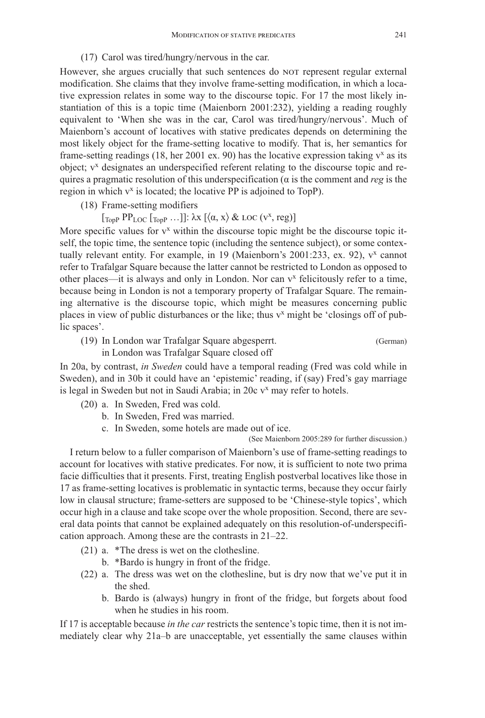#### (17) Carol was tired/hungry/nervous in the car.

However, she argues crucially that such sentences do NOT represent regular external modification. She claims that they involve frame-setting modification, in which a locative expression relates in some way to the discourse topic. For 17 the most likely instantiation of this is a topic time (Maienborn 2001:232), yielding a reading roughly equivalent to 'When she was in the car, Carol was tired/hungry/nervous'. Much of Maienborn's account of locatives with stative predicates depends on determining the most likely object for the frame-setting locative to modify. That is, her semantics for frame-setting readings (18, her 2001 ex. 90) has the locative expression taking  $v^x$  as its object;  $v^x$  designates an underspecified referent relating to the discourse topic and requires a pragmatic resolution of this underspecification ( $\alpha$  is the comment and *reg* is the region in which  $v^x$  is located; the locative PP is adjoined to TopP).

(18) Frame-setting modifiers

 $[\text{Top } PP_{LOC} [\text{Top } \dots]]$ : λx  $[\langle \alpha, x \rangle \&$  LOC  $(v^x, reg)]$ 

More specific values for  $v^x$  within the discourse topic might be the discourse topic itself, the topic time, the sentence topic (including the sentence subject), or some contextually relevant entity. For example, in 19 (Maienborn's 2001:233, ex. 92), v<sup>x</sup> cannot refer to Trafalgar Square because the latter cannot be restricted to London as opposed to other places—it is always and only in London. Nor can  $v^x$  felicitously refer to a time, because being in London is not a temporary property of Trafalgar Square. The remaining alternative is the discourse topic, which might be measures concerning public places in view of public disturbances or the like; thus v<sup>x</sup> might be 'closings off of public spaces'.

(19) In London war Trafalgar Square abgesperrt. (German)

in London was Trafalgar Square closed off

In 20a, by contrast, *in Sweden* could have a temporal reading (Fred was cold while in Sweden), and in 30b it could have an 'epistemic' reading, if (say) Fred's gay marriage is legal in Sweden but not in Saudi Arabia; in  $20c$  v<sup>x</sup> may refer to hotels.

- (20) a. In Sweden, Fred was cold.
	- b. In Sweden, Fred was married.
	- c. In Sweden, some hotels are made out of ice.

(See Maienborn 2005:289 for further discussion.)

I return below to a fuller comparison of Maienborn's use of frame-setting readings to account for locatives with stative predicates. For now, it is sufficient to note two prima facie difficulties that it presents. First, treating English postverbal locatives like those in 17 as frame-setting locatives is problematic in syntactic terms, because they occur fairly low in clausal structure; frame-setters are supposed to be 'Chinese-style topics', which occur high in a clause and take scope over the whole proposition. Second, there are several data points that cannot be explained adequately on this resolution-of-underspecification approach. Among these are the contrasts in 21–22.

- (21) a. \*The dress is wet on the clothesline.
	- b. \*Bardo is hungry in front of the fridge.
- (22) a. The dress was wet on the clothesline, but is dry now that we've put it in the shed.
	- b. Bardo is (always) hungry in front of the fridge, but forgets about food when he studies in his room.

If 17 is acceptable because *in the car* restricts the sentence's topic time, then it is not immediately clear why 21a–b are unacceptable, yet essentially the same clauses within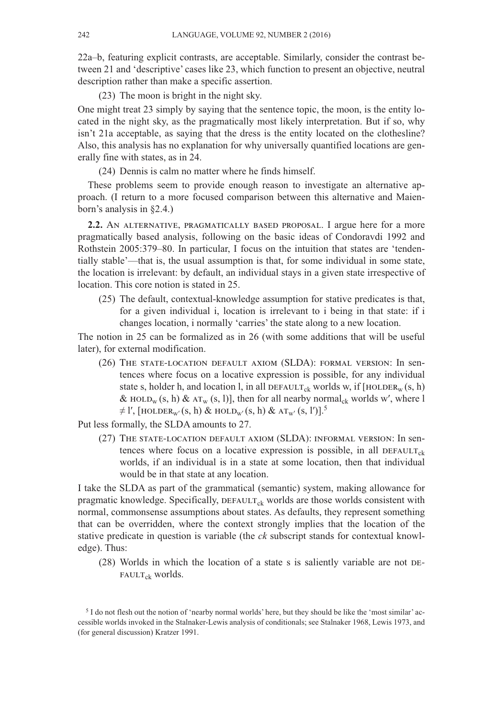22a–b, featuring explicit contrasts, are acceptable. Similarly, consider the contrast between 21 and 'descriptive' cases like 23, which function to present an objective, neutral description rather than make a specific assertion.

(23) The moon is bright in the night sky.

One might treat 23 simply by saying that the sentence topic, the moon, is the entity located in the night sky, as the pragmatically most likely interpretation. But if so, why isn't 21a acceptable, as saying that the dress is the entity located on the clothesline? Also, this analysis has no explanation for why universally quantified locations are generally fine with states, as in 24.

(24) Dennis is calm no matter where he finds himself.

These problems seem to provide enough reason to investigate an alternative approach. (I return to a more focused comparison between this alternative and Maienborn's analysis in §2.4.)

**2.2.** An alternative, pragmatically based proposal. I argue here for a more pragmatically based analysis, following on the basic ideas of Condoravdi 1992 and Rothstein 2005:379–80. In particular, I focus on the intuition that states are 'tendentially stable'—that is, the usual assumption is that, for some individual in some state, the location is irrelevant: by default, an individual stays in a given state irrespective of location. This core notion is stated in 25.

(25) The default, contextual-knowledge assumption for stative predicates is that, for a given individual i, location is irrelevant to i being in that state: if i changes location, i normally 'carries' the state along to a new location.

The notion in 25 can be formalized as in 26 (with some additions that will be useful later), for external modification.

(26) The state-location default axiom (SLDA): formal version: In sentences where focus on a locative expression is possible, for any individual state s, holder h, and location l, in all DEFAULT<sub>ck</sub> worlds w, if  $[HOLDER_w (s, h)]$ & HOLD<sub>w</sub> (s, h) &  $AT_w$  (s, l)], then for all nearby normal<sub>ck</sub> worlds w', where l  $\neq$  1', [holder<sub>w'</sub> (s, h) & hold<sub>w'</sub> (s, h) & at<sub>w'</sub> (s, 1')].<sup>5</sup>

Put less formally, the SLDA amounts to 27.

(27) The state-location default axiom (SLDA): informal version: In sentences where focus on a locative expression is possible, in all  $DEFAULT_{ck}$ worlds, if an individual is in a state at some location, then that individual would be in that state at any location.

I take the SLDA as part of the grammatical (semantic) system, making allowance for pragmatic knowledge. Specifically,  $DEFAULT_{ck}$  worlds are those worlds consistent with normal, commonsense assumptions about states. As defaults, they represent something that can be overridden, where the context strongly implies that the location of the stative predicate in question is variable (the *ck* subscript stands for contextual knowledge). Thus:

(28) Worlds in which the location of a state s is saliently variable are not de- $FAULT_{ck}$  worlds.

<sup>5</sup> I do not flesh out the notion of 'nearby normal worlds' here, but they should be like the 'most similar' accessible worlds invoked in the Stalnaker-Lewis analysis of conditionals; see Stalnaker 1968, Lewis 1973, and (for general discussion) Kratzer 1991.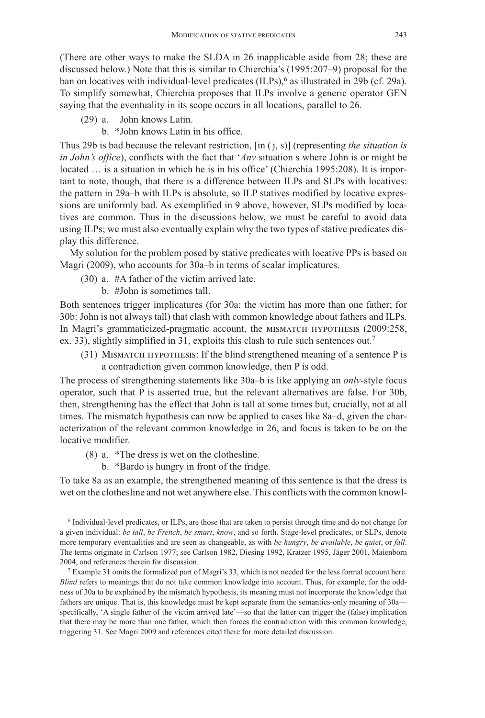(There are other ways to make the SLDA in 26 inapplicable aside from 28; these are discussed below.) Note that this is similar to Chierchia's (1995:207–9) proposal for the ban on locatives with individual-level predicates (ILPs), <sup>6</sup> as illustrated in 29b (cf. 29a). To simplify somewhat, Chierchia proposes that ILPs involve a generic operator GEN saying that the eventuality in its scope occurs in all locations, parallel to 26.

- (29) a. John knows Latin.
	- b. \*John knows Latin in his office.

Thus 29b is bad because the relevant restriction, [in (j, s)] (representing *the situation is in John's office*), conflicts with the fact that '*Any* situation s where John is or might be located ... is a situation in which he is in his office' (Chierchia 1995:208). It is important to note, though, that there is a difference between ILPs and SLPs with locatives: the pattern in 29a–b with ILPs is absolute, so ILP statives modified by locative expressions are uniformly bad. As exemplified in 9 above, however, SLPs modified by locatives are common. Thus in the discussions below, we must be careful to avoid data using ILPs; we must also eventually explain why the two types of stative predicates display this difference.

My solution for the problem posed by stative predicates with locative PPs is based on Magri (2009), who accounts for 30a–b in terms of scalar implicatures.

- (30) a. #A father of the victim arrived late.
	- b. #John is sometimes tall.

Both sentences trigger implicatures (for 30a: the victim has more than one father; for 30b: John is not always tall) that clash with common knowledge about fathers and ILPs. In Magri's grammaticized-pragmatic account, the MISMATCH HYPOTHESIS (2009:258, ex. 33), slightly simplified in 31, exploits this clash to rule such sentences out.<sup>7</sup>

(31) Mismatch hypothesis: If the blind strengthened meaning of a sentence P is a contradiction given common knowledge, then P is odd.

The process of strengthening statements like 30a–b is like applying an *only*-style focus operator, such that P is asserted true, but the relevant alternatives are false. For 30b, then, strengthening has the effect that John is tall at some times but, crucially, not at all times. The mismatch hypothesis can now be applied to cases like 8a–d, given the characterization of the relevant common knowledge in 26, and focus is taken to be on the locative modifier.

- (8) a. \*The dress is wet on the clothesline.
	- b. \*Bardo is hungry in front of the fridge.

To take 8a as an example, the strengthened meaning of this sentence is that the dress is wet on the clothesline and not wet anywhere else. This conflicts with the common knowl-

<sup>6</sup> Individual-level predicates, or ILPs, are those that are taken to persist through time and do not change for a given individual: *be tall*, *be French*, *be smart*, *know*, and so forth. Stage-level predicates, or SLPs, denote more temporary eventualities and are seen as changeable, as with *be hungry*, *be available*, *be quiet*, or *fall*. The terms originate in Carlson 1977; see Carlson 1982, Diesing 1992, Kratzer 1995, Jäger 2001, Maienborn 2004, and references therein for discussion.

<sup>7</sup> Example 31 omits the formalized part of Magri's 33, which is not needed for the less formal account here. *Blind* refers to meanings that do not take common knowledge into account. Thus, for example, for the oddness of 30a to be explained by the mismatch hypothesis, its meaning must not incorporate the knowledge that fathers are unique. That is, this knowledge must be kept separate from the semantics-only meaning of 30a specifically, 'A single father of the victim arrived late'—so that the latter can trigger the (false) implication that there may be more than one father, which then forces the contradiction with this common knowledge, triggering 31. See Magri 2009 and references cited there for more detailed discussion.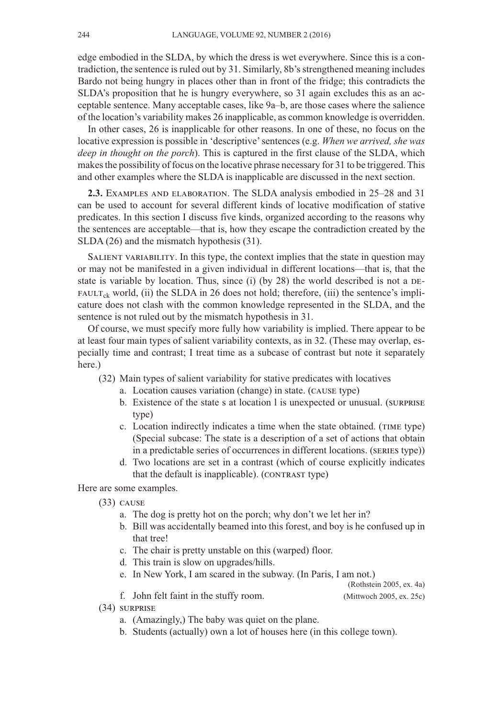edge embodied in the SLDA, by which the dress is wet everywhere. Since this is a contradiction, the sentence is ruled out by 31. Similarly, 8b's strengthened meaning includes Bardo not being hungry in places other than in front of the fridge; this contradicts the SLDA's proposition that he is hungry everywhere, so 31 again excludes this as an acceptable sentence. Many acceptable cases, like 9a–b, are those cases where the salience of the location's variability makes 26 inapplicable, as common knowledge is overridden.

In other cases, 26 is inapplicable for other reasons. In one of these, no focus on the locative expression is possible in 'descriptive'sentences (e.g. *When we arrived, she was deep in thought on the porch*). This is captured in the first clause of the SLDA, which makes the possibility of focus on the locative phrase necessary for 31 to be triggered. This and other examples where the SLDA is inapplicable are discussed in the next section.

**2.3.** Examples and elaboration. The SLDA analysis embodied in 25–28 and 31 can be used to account for several different kinds of locative modification of stative predicates. In this section I discuss five kinds, organized according to the reasons why the sentences are acceptable—that is, how they escape the contradiction created by the SLDA (26) and the mismatch hypothesis (31).

SALIENT VARIABILITY. In this type, the context implies that the state in question may or may not be manifested in a given individual in different locations—that is, that the state is variable by location. Thus, since  $(i)$  (by 28) the world described is not a DE- $FAULT_{ck}$  world, (ii) the SLDA in 26 does not hold; therefore, (iii) the sentence's implicature does not clash with the common knowledge represented in the SLDA, and the sentence is not ruled out by the mismatch hypothesis in 31.

Of course, we must specify more fully how variability is implied. There appear to be at least four main types of salient variability contexts, as in 32. (These may overlap, especially time and contrast; I treat time as a subcase of contrast but note it separately here.)

- (32) Main types of salient variability for stative predicates with locatives
	- a. Location causes variation (change) in state. (cause type)
	- b. Existence of the state s at location l is unexpected or unusual. (surprise type)
	- c. Location indirectly indicates a time when the state obtained. (TIME type) (Special subcase: The state is a description of a set of actions that obtain in a predictable series of occurrences in different locations. (series type))
	- d. Two locations are set in a contrast (which of course explicitly indicates that the default is inapplicable). (CONTRAST type)

Here are some examples.

- (33) cause
	- a. The dog is pretty hot on the porch; why don't we let her in?
	- b. Bill was accidentally beamed into this forest, and boy is he confused up in that tree!
	- c. The chair is pretty unstable on this (warped) floor.
	- d. This train is slow on upgrades/hills.
	- e. In New York, I am scared in the subway. (In Paris, I am not.)

(Rothstein 2005, ex. 4a)

f. John felt faint in the stuffy room. (Mittwoch 2005, ex. 25c)

- (34) surprise
	- a. (Amazingly,) The baby was quiet on the plane.
	- b. Students (actually) own a lot of houses here (in this college town).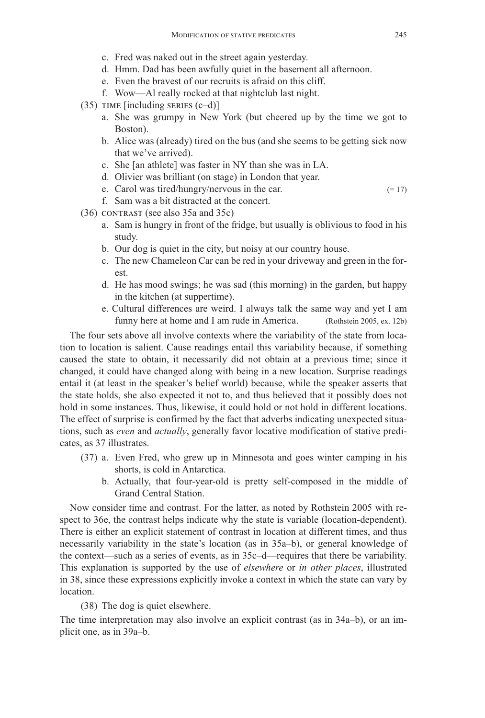- c. Fred was naked out in the street again yesterday.
- d. Hmm. Dad has been awfully quiet in the basement all afternoon.
- e. Even the bravest of our recruits is afraid on this cliff.
- f. Wow—Al really rocked at that nightclub last night.
- (35) TIME [including series  $(c-d)$ ]
	- a. She was grumpy in New York (but cheered up by the time we got to Boston).
	- b. Alice was (already) tired on the bus (and she seems to be getting sick now that we've arrived).
	- c. She [an athlete] was faster in NY than she was in LA.
	- d. Olivier was brilliant (on stage) in London that year.
	- e. Carol was tired/hungry/nervous in the car.  $(= 17)$
	- f. Sam was a bit distracted at the concert.
- (36) CONTRAST (see also 35a and 35c)
	- a. Sam is hungry in front of the fridge, but usually is oblivious to food in his study.
	- b. Our dog is quiet in the city, but noisy at our country house.
	- c. The new Chameleon Car can be red in your driveway and green in the forest.
	- d. He has mood swings; he was sad (this morning) in the garden, but happy in the kitchen (at suppertime).
	- e. Cultural differences are weird. I always talk the same way and yet I am funny here at home and I am rude in America. (Rothstein 2005, ex. 12b)

The four sets above all involve contexts where the variability of the state from location to location is salient. Cause readings entail this variability because, if something caused the state to obtain, it necessarily did not obtain at a previous time; since it changed, it could have changed along with being in a new location. Surprise readings entail it (at least in the speaker's belief world) because, while the speaker asserts that the state holds, she also expected it not to, and thus believed that it possibly does not hold in some instances. Thus, likewise, it could hold or not hold in different locations. The effect of surprise is confirmed by the fact that adverbs indicating unexpected situations, such as *even* and *actually*, generally favor locative modification of stative predicates, as 37 illustrates.

- (37) a. Even Fred, who grew up in Minnesota and goes winter camping in his shorts, is cold in Antarctica.
	- b. Actually, that four-year-old is pretty self-composed in the middle of Grand Central Station.

Now consider time and contrast. For the latter, as noted by Rothstein 2005 with respect to 36e, the contrast helps indicate why the state is variable (location-dependent). There is either an explicit statement of contrast in location at different times, and thus necessarily variability in the state's location (as in 35a–b), or general knowledge of the context—such as a series of events, as in 35c–d—requires that there be variability. This explanation is supported by the use of *elsewhere* or *in other places*, illustrated in 38, since these expressions explicitly invoke a context in which the state can vary by location.

(38) The dog is quiet elsewhere.

The time interpretation may also involve an explicit contrast (as in 34a–b), or an implicit one, as in 39a–b.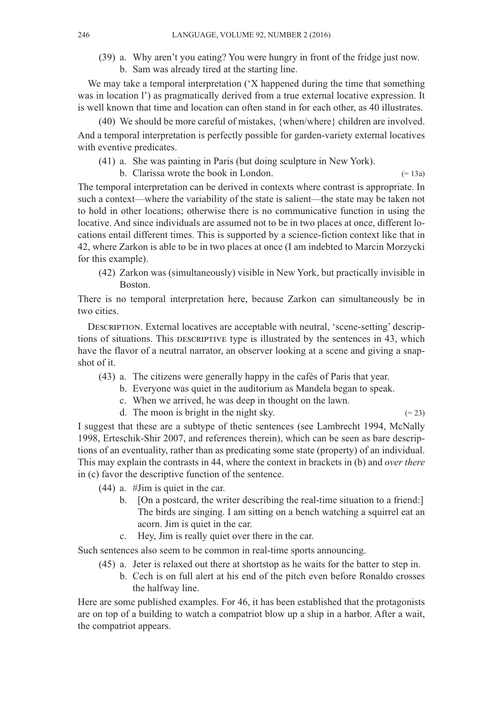(39) a. Why aren't you eating? You were hungry in front of the fridge just now. b. Sam was already tired at the starting line.

We may take a temporal interpretation ('X happened during the time that something was in location l') as pragmatically derived from a true external locative expression. It is well known that time and location can often stand in for each other, as 40 illustrates.

(40) We should be more careful of mistakes, {when/where} children are involved. And a temporal interpretation is perfectly possible for garden-variety external locatives with eventive predicates.

(41) a. She was painting in Paris (but doing sculpture in New York).

b. Clarissa wrote the book in London.  $(= 13a)$ 

The temporal interpretation can be derived in contexts where contrast is appropriate. In such a context—where the variability of the state is salient—the state may be taken not to hold in other locations; otherwise there is no communicative function in using the locative. And since individuals are assumed not to be in two places at once, different locations entail different times. This is supported by a science-fiction context like that in 42, where Zarkon is able to be in two places at once (I am indebted to Marcin Morzycki for this example).

(42) Zarkon was (simultaneously) visible in New York, but practically invisible in Boston.

There is no temporal interpretation here, because Zarkon can simultaneously be in two cities.

DESCRIPTION. External locatives are acceptable with neutral, 'scene-setting' descriptions of situations. This DESCRIPTIVE type is illustrated by the sentences in 43, which have the flavor of a neutral narrator, an observer looking at a scene and giving a snapshot of it.

- (43) a. The citizens were generally happy in the cafés of Paris that year.
	- b. Everyone was quiet in the auditorium as Mandela began to speak.
	- c. When we arrived, he was deep in thought on the lawn.
	- d. The moon is bright in the night sky.  $(= 23)$

I suggest that these are a subtype of thetic sentences (see Lambrecht 1994, McNally 1998, Erteschik-Shir 2007, and references therein), which can be seen as bare descriptions of an eventuality, rather than as predicating some state (property) of an individual. This may explain the contrasts in 44, where the context in brackets in (b) and *over there* in (c) favor the descriptive function of the sentence.

(44) a. #Jim is quiet in the car.

- b. [On a postcard, the writer describing the real-time situation to a friend:] The birds are singing. I am sitting on a bench watching a squirrel eat an acorn. Jim is quiet in the car.
- c. Hey, Jim is really quiet over there in the car.

Such sentences also seem to be common in real-time sports announcing.

- (45) a. Jeter is relaxed out there at shortstop as he waits for the batter to step in.
	- b. Cech is on full alert at his end of the pitch even before Ronaldo crosses the halfway line.

Here are some published examples. For 46, it has been established that the protagonists are on top of a building to watch a compatriot blow up a ship in a harbor. After a wait, the compatriot appears.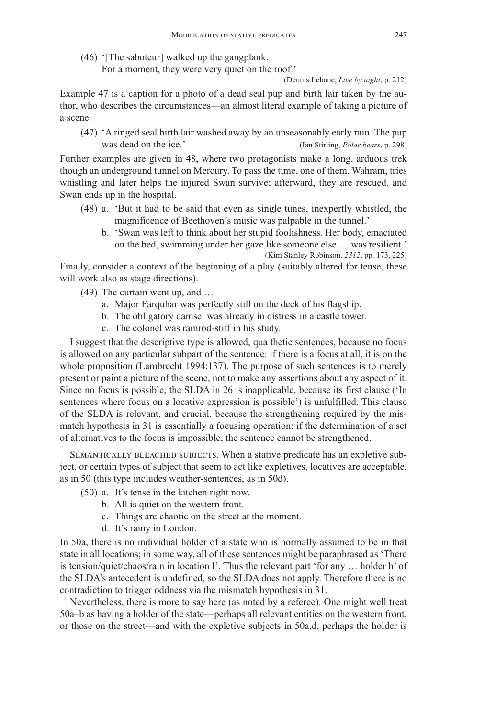(46) '[The saboteur] walked up the gangplank. For a moment, they were very quiet on the roof.'

(Dennis Lehane, *Live by night*, p. 212)

Example 47 is a caption for a photo of a dead seal pup and birth lair taken by the author, who describes the circumstances—an almost literal example of taking a picture of a scene.

(47) 'A ringed seal birth lair washed away by an unseasonably early rain. The pup was dead on the ice.' (Ian Stirling, *Polar bears*, p. 298)

Further examples are given in 48, where two protagonists make a long, arduous trek though an underground tunnel on Mercury. To pass the time, one of them, Wahram, tries whistling and later helps the injured Swan survive; afterward, they are rescued, and Swan ends up in the hospital.

- (48) a. 'But it had to be said that even as single tunes, inexpertly whistled, the magnificence of Beethoven's music was palpable in the tunnel.'
	- b. 'Swan was left to think about her stupid foolishness. Her body, emaciated on the bed, swimming under her gaze like someone else … was resilient.' (Kim Stanley Robinson, *2312*, pp. 173, 225)

Finally, consider a context of the beginning of a play (suitably altered for tense, these will work also as stage directions).

- (49) The curtain went up, and …
	- a. Major Farquhar was perfectly still on the deck of his flagship.
	- b. The obligatory damsel was already in distress in a castle tower.
	- c. The colonel was ramrod-stiff in his study.

I suggest that the descriptive type is allowed, qua thetic sentences, because no focus is allowed on any particular subpart of the sentence: if there is a focus at all, it is on the whole proposition (Lambrecht 1994:137). The purpose of such sentences is to merely present or paint a picture of the scene, not to make any assertions about any aspect of it. Since no focus is possible, the SLDA in 26 is inapplicable, because its first clause ('In sentences where focus on a locative expression is possible') is unfulfilled. This clause of the SLDA is relevant, and crucial, because the strengthening required by the mismatch hypothesis in 31 is essentially a focusing operation: if the determination of a set of alternatives to the focus is impossible, the sentence cannot be strengthened.

SEMANTICALLY BLEACHED SUBJECTS. When a stative predicate has an expletive subject, or certain types of subject that seem to act like expletives, locatives are acceptable, as in 50 (this type includes weather-sentences, as in 50d).

- (50) a. It's tense in the kitchen right now.
	- b. All is quiet on the western front.
	- c. Things are chaotic on the street at the moment.
	- d. It's rainy in London.

In 50a, there is no individual holder of a state who is normally assumed to be in that state in all locations; in some way, all of these sentences might be paraphrased as 'There is tension/quiet/chaos/rain in location l'. Thus the relevant part 'for any … holder h' of the SLDA's antecedent is undefined, so the SLDA does not apply. Therefore there is no contradiction to trigger oddness via the mismatch hypothesis in 31.

Nevertheless, there is more to say here (as noted by a referee). One might well treat 50a–b as having a holder of the state—perhaps all relevant entities on the western front, or those on the street—and with the expletive subjects in 50a,d, perhaps the holder is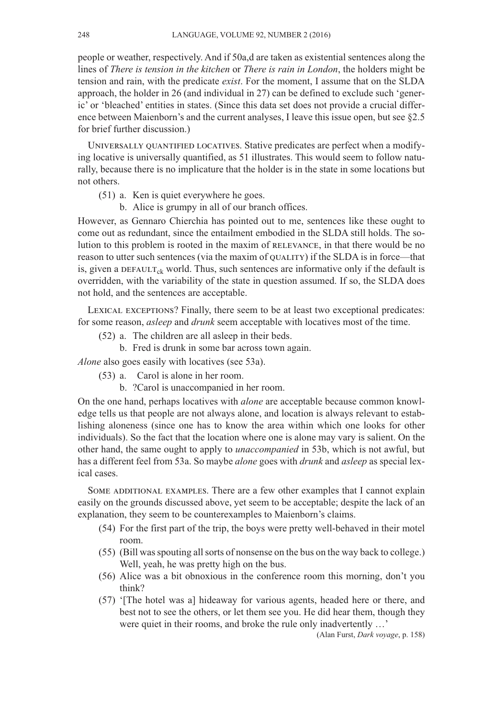people or weather, respectively. And if 50a,d are taken as existential sentences along the lines of *There is tension in the kitchen* or *There is rain in London*, the holders might be tension and rain, with the predicate *exist*. For the moment, I assume that on the SLDA approach, the holder in 26 (and individual in 27) can be defined to exclude such 'generic' or 'bleached' entities in states. (Since this data set does not provide a crucial difference between Maienborn's and the current analyses, I leave this issue open, but see §2.5 for brief further discussion.)

Universally quantified locatives. Stative predicates are perfect when a modifying locative is universally quantified, as 51 illustrates. This would seem to follow naturally, because there is no implicature that the holder is in the state in some locations but not others.

- (51) a. Ken is quiet everywhere he goes.
	- b. Alice is grumpy in all of our branch offices.

However, as Gennaro Chierchia has pointed out to me, sentences like these ought to come out as redundant, since the entailment embodied in the SLDA still holds. The solution to this problem is rooted in the maxim of relevance, in that there would be no reason to utter such sentences (via the maxim of QUALITY) if the SLDA is in force—that is, given a DEFAULT<sub>ck</sub> world. Thus, such sentences are informative only if the default is overridden, with the variability of the state in question assumed. If so, the SLDA does not hold, and the sentences are acceptable.

Lexical exceptions? Finally, there seem to be at least two exceptional predicates: for some reason, *asleep* and *drunk* seem acceptable with locatives most of the time.

- (52) a. The children are all asleep in their beds.
	- b. Fred is drunk in some bar across town again.

*Alone* also goes easily with locatives (see 53a).

- $(53)$  a. Carol is alone in her room.
	- b. ?Carol is unaccompanied in her room.

On the one hand, perhaps locatives with *alone* are acceptable because common knowledge tells us that people are not always alone, and location is always relevant to establishing aloneness (since one has to know the area within which one looks for other individuals). So the fact that the location where one is alone may vary is salient. On the other hand, the same ought to apply to *unaccompanied* in 53b, which is not awful, but has a different feel from 53a. So maybe *alone* goes with *drunk* and *asleep* as special lexical cases.

SOME ADDITIONAL EXAMPLES. There are a few other examples that I cannot explain easily on the grounds discussed above, yet seem to be acceptable; despite the lack of an explanation, they seem to be counterexamples to Maienborn's claims.

- (54) For the first part of the trip, the boys were pretty well-behaved in their motel room.
- (55) (Bill was spouting all sorts of nonsense on the bus on the way back to college.) Well, yeah, he was pretty high on the bus.
- (56) Alice was a bit obnoxious in the conference room this morning, don't you think?
- (57) '[The hotel was a] hideaway for various agents, headed here or there, and best not to see the others, or let them see you. He did hear them, though they were quiet in their rooms, and broke the rule only inadvertently …'

(Alan Furst, *Dark voyage*, p. 158)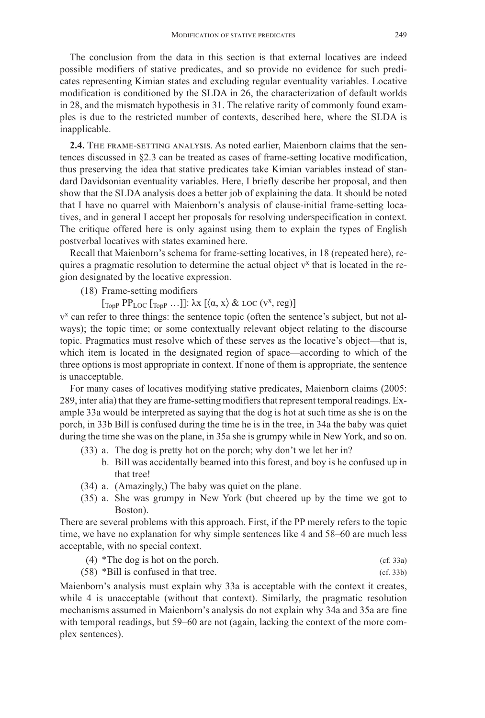The conclusion from the data in this section is that external locatives are indeed possible modifiers of stative predicates, and so provide no evidence for such predicates representing Kimian states and excluding regular eventuality variables. Locative modification is conditioned by the SLDA in 26, the characterization of default worlds in 28, and the mismatch hypothesis in 31. The relative rarity of commonly found examples is due to the restricted number of contexts, described here, where the SLDA is inapplicable.

**2.4.** THE FRAME-SETTING ANALYSIS. As noted earlier, Maienborn claims that the sentences discussed in §2.3 can be treated as cases of frame-setting locative modification, thus preserving the idea that stative predicates take Kimian variables instead of standard Davidsonian eventuality variables. Here, I briefly describe her proposal, and then show that the SLDA analysis does a better job of explaining the data. It should be noted that I have no quarrel with Maienborn's analysis of clause-initial frame-setting locatives, and in general I accept her proposals for resolving underspecification in context. The critique offered here is only against using them to explain the types of English postverbal locatives with states examined here.

Recall that Maienborn's schema for frame-setting locatives, in 18 (repeated here), requires a pragmatic resolution to determine the actual object  $v^x$  that is located in the region designated by the locative expression.

(18) Frame-setting modifiers

[TopP PP<sub>LOC</sub> [TopP ...]]:  $\lambda$ x [ $\langle \alpha, x \rangle \&$  LOC (v<sup>x</sup>, reg)]

v<sup>x</sup> can refer to three things: the sentence topic (often the sentence's subject, but not always); the topic time; or some contextually relevant object relating to the discourse topic. Pragmatics must resolve which of these serves as the locative's object—that is, which item is located in the designated region of space—according to which of the three options is most appropriate in context. If none of them is appropriate, the sentence is unacceptable.

For many cases of locatives modifying stative predicates, Maienborn claims (2005: 289, inter alia) that they are frame-setting modifiers that represent temporal readings. Example 33a would be interpreted as saying that the dog is hot at such time as she is on the porch, in 33b Bill is confused during the time he is in the tree, in 34a the baby was quiet during the time she was on the plane, in 35a she is grumpy while in New York, and so on.

- (33) a. The dog is pretty hot on the porch; why don't we let her in?
	- b. Bill was accidentally beamed into this forest, and boy is he confused up in that tree!
- (34) a. (Amazingly,) The baby was quiet on the plane.
- (35) a. She was grumpy in New York (but cheered up by the time we got to Boston).

There are several problems with this approach. First, if the PP merely refers to the topic time, we have no explanation for why simple sentences like 4 and 58–60 are much less acceptable, with no special context.

(4) \*The dog is hot on the porch. (cf. 33a)

(58) \*Bill is confused in that tree. (cf. 33b)

Maienborn's analysis must explain why 33a is acceptable with the context it creates, while 4 is unacceptable (without that context). Similarly, the pragmatic resolution mechanisms assumed in Maienborn's analysis do not explain why 34a and 35a are fine with temporal readings, but 59–60 are not (again, lacking the context of the more complex sentences).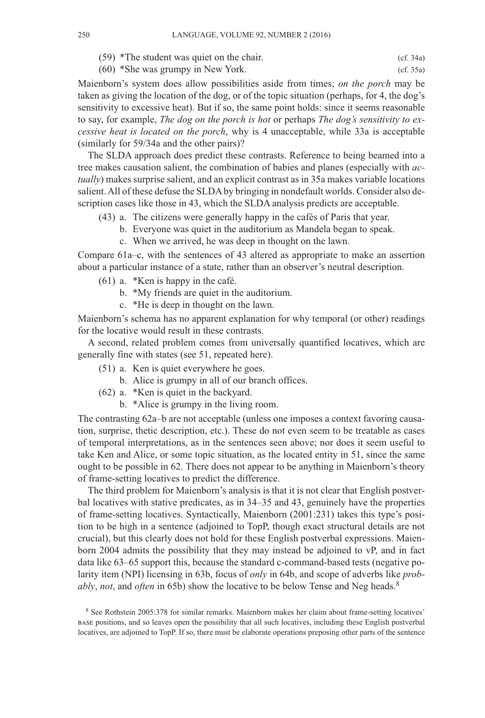(59) \*The student was quiet on the chair. (cf. 34a)

(60) \*She was grumpy in New York. (cf. 35a)

Maienborn's system does allow possibilities aside from times; *on the porch* may be taken as giving the location of the dog, or of the topic situation (perhaps, for 4, the dog's sensitivity to excessive heat). But if so, the same point holds: since it seems reasonable to say, for example, *The dog on the porch is hot* or perhaps *The dog's sensitivity to excessive heat is located on the porch*, why is 4 unacceptable, while 33a is acceptable (similarly for 59/34a and the other pairs)?

The SLDA approach does predict these contrasts. Reference to being beamed into a tree makes causation salient, the combination of babies and planes (especially with *actually*) makes surprise salient, and an explicit contrast as in 35a makes variable locations salient.All of these defuse the SLDAby bringing in nondefault worlds. Consider also description cases like those in 43, which the SLDA analysis predicts are acceptable.

- (43) a. The citizens were generally happy in the cafés of Paris that year.
	- b. Everyone was quiet in the auditorium as Mandela began to speak.
	- c. When we arrived, he was deep in thought on the lawn.

Compare 61a–c, with the sentences of 43 altered as appropriate to make an assertion about a particular instance of a state, rather than an observer's neutral description.

- (61) a. \*Ken is happy in the café.
	- b. \*My friends are quiet in the auditorium.
	- c. \*He is deep in thought on the lawn.

Maienborn's schema has no apparent explanation for why temporal (or other) readings for the locative would result in these contrasts.

A second, related problem comes from universally quantified locatives, which are generally fine with states (see 51, repeated here).

- (51) a. Ken is quiet everywhere he goes.
	- b. Alice is grumpy in all of our branch offices.
- (62) a. \*Ken is quiet in the backyard.
	- b. \*Alice is grumpy in the living room.

The contrasting 62a–b are not acceptable (unless one imposes a context favoring causation, surprise, thetic description, etc.). These do not even seem to be treatable as cases of temporal interpretations, as in the sentences seen above; nor does it seem useful to take Ken and Alice, or some topic situation, as the located entity in 51, since the same ought to be possible in 62. There does not appear to be anything in Maienborn's theory of frame-setting locatives to predict the difference.

The third problem for Maienborn's analysis is that it is not clear that English postverbal locatives with stative predicates, as in 34–35 and 43, genuinely have the properties of frame-setting locatives. Syntactically, Maienborn (2001:231) takes this type's position to be high in a sentence (adjoined to TopP, though exact structural details are not crucial), but this clearly does not hold for these English postverbal expressions. Maienborn 2004 admits the possibility that they may instead be adjoined to vP, and in fact data like 63–65 support this, because the standard c-command-based tests (negative polarity item (NPI) licensing in 63b, focus of *only* in 64b, and scope of adverbs like *probably*, *not*, and *often* in 65b) show the locative to be below Tense and Neg heads. 8

<sup>8</sup> See Rothstein 2005:378 for similar remarks. Maienborn makes her claim about frame-setting locatives' base positions, and so leaves open the possibility that all such locatives, including these English postverbal locatives, are adjoined to TopP. If so, there must be elaborate operations preposing other parts of the sentence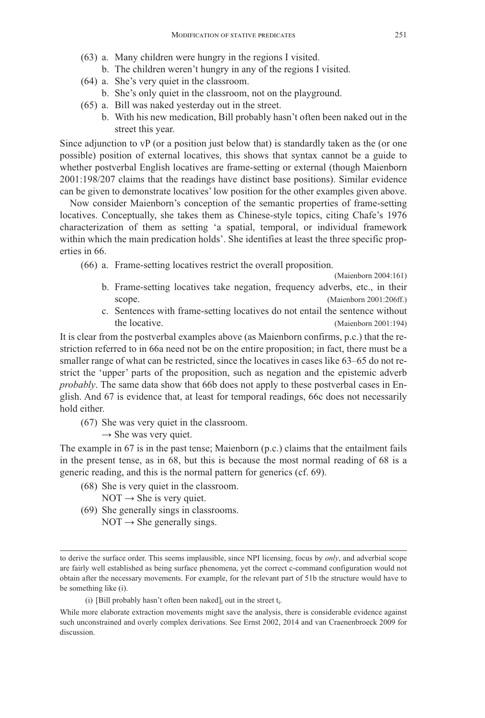- (63) a. Many children were hungry in the regions I visited.
	- b. The children weren't hungry in any of the regions I visited.
- (64) a. She's very quiet in the classroom.
	- b. She's only quiet in the classroom, not on the playground.
- (65) a. Bill was naked yesterday out in the street.
	- b. With his new medication, Bill probably hasn't often been naked out in the street this year.

Since adjunction to vP (or a position just below that) is standardly taken as the (or one possible) position of external locatives, this shows that syntax cannot be a guide to whether postverbal English locatives are frame-setting or external (though Maienborn 2001:198/207 claims that the readings have distinct base positions). Similar evidence can be given to demonstrate locatives'low position for the other examples given above.

Now consider Maienborn's conception of the semantic properties of frame-setting locatives. Conceptually, she takes them as Chinese-style topics, citing Chafe's 1976 characterization of them as setting 'a spatial, temporal, or individual framework within which the main predication holds'. She identifies at least the three specific properties in 66.

(66) a. Frame-setting locatives restrict the overall proposition.

(Maienborn 2004:161)

- b. Frame-setting locatives take negation, frequency adverbs, etc., in their scope. (Maienborn 2001:206ff.)
- c. Sentences with frame-setting locatives do not entail the sentence without the locative. (Maienborn 2001:194)

It is clear from the postverbal examples above (as Maienborn confirms, p.c.) that the restriction referred to in 66a need not be on the entire proposition; in fact, there must be a smaller range of what can be restricted, since the locatives in cases like 63–65 do not restrict the 'upper' parts of the proposition, such as negation and the epistemic adverb *probably*. The same data show that 66b does not apply to these postverbal cases in English. And 67 is evidence that, at least for temporal readings, 66c does not necessarily hold either.

(67) She was very quiet in the classroom.

 $\rightarrow$  She was very quiet.

The example in 67 is in the past tense; Maienborn (p.c.) claims that the entailment fails in the present tense, as in 68, but this is because the most normal reading of 68 is a generic reading, and this is the normal pattern for generics (cf. 69).

- (68) She is very quiet in the classroom.
	- $NOT \rightarrow She$  is very quiet.
- (69) She generally sings in classrooms.
	- $NOT \rightarrow She$  generally sings.

to derive the surface order. This seems implausible, since NPI licensing, focus by *only*, and adverbial scope are fairly well established as being surface phenomena, yet the correct c-command configuration would not obtain after the necessary movements. For example, for the relevant part of 51b the structure would have to be something like (i).

<sup>(</sup>i) [Bill probably hasn't often been naked]<sub>i</sub> out in the street  $t_i$ .

While more elaborate extraction movements might save the analysis, there is considerable evidence against such unconstrained and overly complex derivations. See Ernst 2002, 2014 and van Craenenbroeck 2009 for discussion.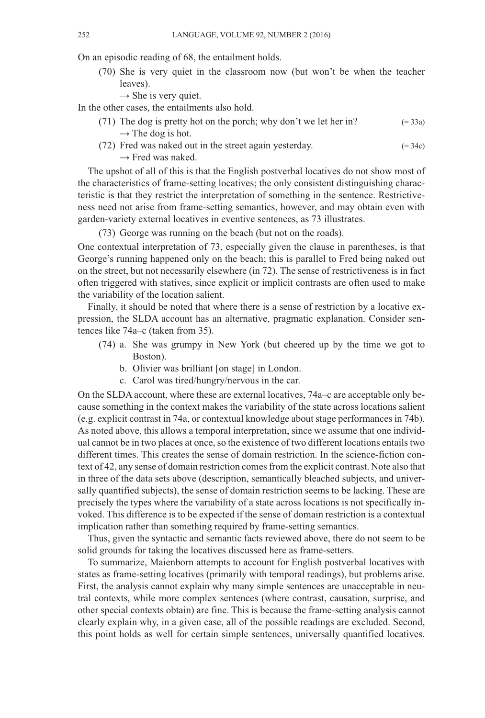On an episodic reading of 68, the entailment holds.

- (70) She is very quiet in the classroom now (but won't be when the teacher leaves).
	- $\rightarrow$  She is very quiet.

In the other cases, the entailments also hold.

- (71) The dog is pretty hot on the porch; why don't we let her in?  $(= 33a)$  $\rightarrow$  The dog is hot.
- (72) Fred was naked out in the street again yesterday. (= 34c)  $\rightarrow$  Fred was naked.

The upshot of all of this is that the English postverbal locatives do not show most of the characteristics of frame-setting locatives; the only consistent distinguishing characteristic is that they restrict the interpretation of something in the sentence. Restrictiveness need not arise from frame-setting semantics, however, and may obtain even with garden-variety external locatives in eventive sentences, as 73 illustrates.

(73) George was running on the beach (but not on the roads).

One contextual interpretation of 73, especially given the clause in parentheses, is that George's running happened only on the beach; this is parallel to Fred being naked out on the street, but not necessarily elsewhere (in 72). The sense of restrictiveness is in fact often triggered with statives, since explicit or implicit contrasts are often used to make the variability of the location salient.

Finally, it should be noted that where there is a sense of restriction by a locative expression, the SLDA account has an alternative, pragmatic explanation. Consider sentences like 74a–c (taken from 35).

- (74) a. She was grumpy in New York (but cheered up by the time we got to Boston).
	- b. Olivier was brilliant [on stage] in London.
	- c. Carol was tired/hungry/nervous in the car.

On the SLDA account, where these are external locatives, 74a–c are acceptable only because something in the context makes the variability of the state across locations salient (e.g. explicit contrast in 74a, or contextual knowledge about stage performances in 74b). As noted above, this allows a temporal interpretation, since we assume that one individual cannot be in two places at once, so the existence of two different locations entails two different times. This creates the sense of domain restriction. In the science-fiction context of 42, any sense of domain restriction comesfrom the explicit contrast. Note also that in three of the data sets above (description, semantically bleached subjects, and universally quantified subjects), the sense of domain restriction seems to be lacking. These are precisely the types where the variability of a state across locations is not specifically invoked. This difference is to be expected if the sense of domain restriction is a contextual implication rather than something required by frame-setting semantics.

Thus, given the syntactic and semantic facts reviewed above, there do not seem to be solid grounds for taking the locatives discussed here as frame-setters.

To summarize, Maienborn attempts to account for English postverbal locatives with states as frame-setting locatives (primarily with temporal readings), but problems arise. First, the analysis cannot explain why many simple sentences are unacceptable in neutral contexts, while more complex sentences (where contrast, causation, surprise, and other special contexts obtain) are fine. This is because the frame-setting analysis cannot clearly explain why, in a given case, all of the possible readings are excluded. Second, this point holds as well for certain simple sentences, universally quantified locatives.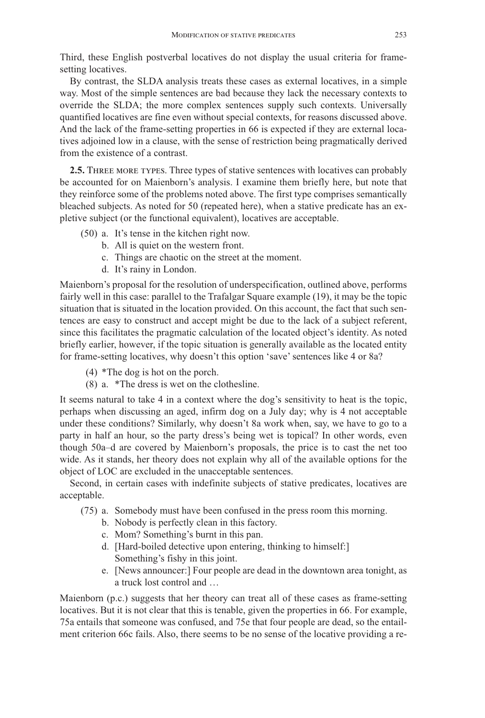Third, these English postverbal locatives do not display the usual criteria for framesetting locatives.

By contrast, the SLDA analysis treats these cases as external locatives, in a simple way. Most of the simple sentences are bad because they lack the necessary contexts to override the SLDA; the more complex sentences supply such contexts. Universally quantified locatives are fine even without special contexts, for reasons discussed above. And the lack of the frame-setting properties in 66 is expected if they are external locatives adjoined low in a clause, with the sense of restriction being pragmatically derived from the existence of a contrast.

**2.5.** Three more types. Three types of stative sentences with locatives can probably be accounted for on Maienborn's analysis. I examine them briefly here, but note that they reinforce some of the problems noted above. The first type comprises semantically bleached subjects. As noted for 50 (repeated here), when a stative predicate has an expletive subject (or the functional equivalent), locatives are acceptable.

- (50) a. It's tense in the kitchen right now.
	- b. All is quiet on the western front.
	- c. Things are chaotic on the street at the moment.
	- d. It's rainy in London.

Maienborn's proposal for the resolution of underspecification, outlined above, performs fairly well in this case: parallel to the Trafalgar Square example (19), it may be the topic situation that is situated in the location provided. On this account, the fact that such sentences are easy to construct and accept might be due to the lack of a subject referent, since this facilitates the pragmatic calculation of the located object's identity. As noted briefly earlier, however, if the topic situation is generally available as the located entity for frame-setting locatives, why doesn't this option 'save'sentences like 4 or 8a?

- (4) \*The dog is hot on the porch.
- (8) a. \*The dress is wet on the clothesline.

It seems natural to take 4 in a context where the dog's sensitivity to heat is the topic, perhaps when discussing an aged, infirm dog on a July day; why is 4 not acceptable under these conditions? Similarly, why doesn't 8a work when, say, we have to go to a party in half an hour, so the party dress's being wet is topical? In other words, even though 50a–d are covered by Maienborn's proposals, the price is to cast the net too wide. As it stands, her theory does not explain why all of the available options for the object of LOC are excluded in the unacceptable sentences.

Second, in certain cases with indefinite subjects of stative predicates, locatives are acceptable.

- (75) a. Somebody must have been confused in the press room this morning.
	- b. Nobody is perfectly clean in this factory.
	- c. Mom? Something's burnt in this pan.
	- d. [Hard-boiled detective upon entering, thinking to himself:] Something's fishy in this joint.
	- e. [News announcer:] Four people are dead in the downtown area tonight, as a truck lost control and …

Maienborn (p.c.) suggests that her theory can treat all of these cases as frame-setting locatives. But it is not clear that this is tenable, given the properties in 66. For example, 75a entails that someone was confused, and 75e that four people are dead, so the entailment criterion 66c fails. Also, there seems to be no sense of the locative providing a re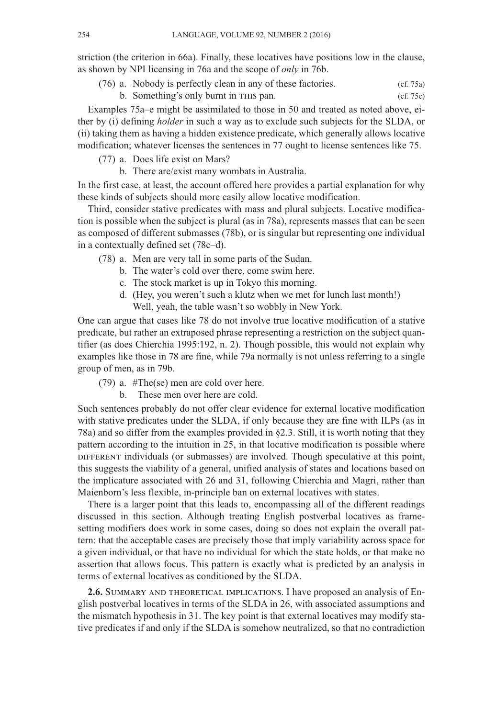striction (the criterion in 66a). Finally, these locatives have positions low in the clause, as shown by NPI licensing in 76a and the scope of *only* in 76b.

- (76) a. Nobody is perfectly clean in any of these factories. (cf. 75a)
	- b. Something's only burnt in THIS pan. (cf. 75c)

Examples 75a–e might be assimilated to those in 50 and treated as noted above, either by (i) defining *holder* in such a way as to exclude such subjects for the SLDA, or (ii) taking them as having a hidden existence predicate, which generally allows locative modification; whatever licenses the sentences in 77 ought to license sentences like 75.

(77) a. Does life exist on Mars?

b. There are/exist many wombats in Australia.

In the first case, at least, the account offered here provides a partial explanation for why these kinds of subjects should more easily allow locative modification.

Third, consider stative predicates with mass and plural subjects. Locative modification is possible when the subject is plural (as in 78a), represents masses that can be seen as composed of different submasses (78b), or is singular but representing one individual in a contextually defined set (78c–d).

- (78) a. Men are very tall in some parts of the Sudan.
	- b. The water's cold over there, come swim here.
	- c. The stock market is up in Tokyo this morning.
	- d. (Hey, you weren't such a klutz when we met for lunch last month!) Well, yeah, the table wasn't so wobbly in New York.

One can argue that cases like 78 do not involve true locative modification of a stative predicate, but rather an extraposed phrase representing a restriction on the subject quantifier (as does Chierchia 1995:192, n. 2). Though possible, this would not explain why examples like those in 78 are fine, while 79a normally is not unless referring to a single group of men, as in 79b.

- (79) a. #The(se) men are cold over here.
	- b. These men over here are cold.

Such sentences probably do not offer clear evidence for external locative modification with stative predicates under the SLDA, if only because they are fine with ILPs (as in 78a) and so differ from the examples provided in §2.3. Still, it is worth noting that they pattern according to the intuition in 25, in that locative modification is possible where different individuals (or submasses) are involved. Though speculative at this point, this suggests the viability of a general, unified analysis of states and locations based on the implicature associated with 26 and 31, following Chierchia and Magri, rather than Maienborn's less flexible, in-principle ban on external locatives with states.

There is a larger point that this leads to, encompassing all of the different readings discussed in this section. Although treating English postverbal locatives as framesetting modifiers does work in some cases, doing so does not explain the overall pattern: that the acceptable cases are precisely those that imply variability across space for a given individual, or that have no individual for which the state holds, or that make no assertion that allows focus. This pattern is exactly what is predicted by an analysis in terms of external locatives as conditioned by the SLDA.

**2.6.** Summary and theoretical implications. I have proposed an analysis of English postverbal locatives in terms of the SLDA in 26, with associated assumptions and the mismatch hypothesis in 31. The key point is that external locatives may modify stative predicates if and only if the SLDA is somehow neutralized, so that no contradiction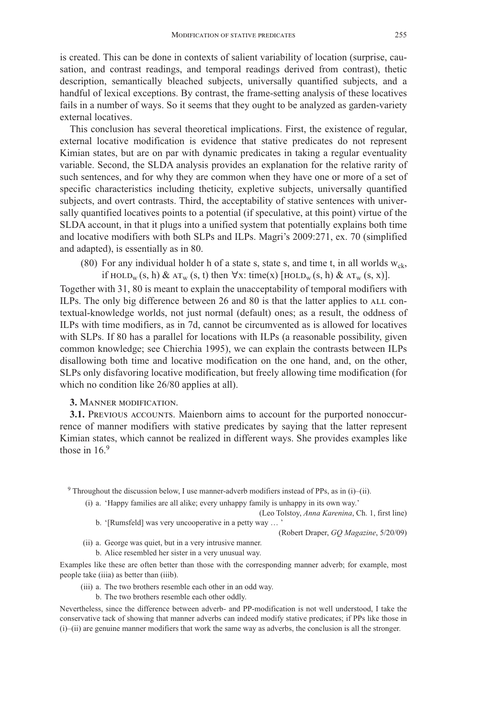is created. This can be done in contexts of salient variability of location (surprise, causation, and contrast readings, and temporal readings derived from contrast), thetic description, semantically bleached subjects, universally quantified subjects, and a handful of lexical exceptions. By contrast, the frame-setting analysis of these locatives fails in a number of ways. So it seems that they ought to be analyzed as garden-variety external locatives.

This conclusion has several theoretical implications. First, the existence of regular, external locative modification is evidence that stative predicates do not represent Kimian states, but are on par with dynamic predicates in taking a regular eventuality variable. Second, the SLDA analysis provides an explanation for the relative rarity of such sentences, and for why they are common when they have one or more of a set of specific characteristics including theticity, expletive subjects, universally quantified subjects, and overt contrasts. Third, the acceptability of stative sentences with universally quantified locatives points to a potential (if speculative, at this point) virtue of the SLDA account, in that it plugs into a unified system that potentially explains both time and locative modifiers with both SLPs and ILPs. Magri's 2009:271, ex. 70 (simplified and adapted), is essentially as in 80.

(80) For any individual holder h of a state s, state s, and time t, in all worlds  $w_{ck}$ , if HOLD<sub>w</sub> (s, h) &  $AT_w$  (s, t) then  $\forall x$ : time(x) [HOLD<sub>w</sub> (s, h) &  $AT_w$  (s, x)].

Together with 31, 80 is meant to explain the unacceptability of temporal modifiers with ILPs. The only big difference between 26 and 80 is that the latter applies to ALL contextual-knowledge worlds, not just normal (default) ones; as a result, the oddness of ILPs with time modifiers, as in 7d, cannot be circumvented as is allowed for locatives with SLPs. If 80 has a parallel for locations with ILPs (a reasonable possibility, given common knowledge; see Chierchia 1995), we can explain the contrasts between ILPs disallowing both time and locative modification on the one hand, and, on the other, SLPs only disfavoring locative modification, but freely allowing time modification (for which no condition like 26/80 applies at all).

## **3.** Manner modification.

**3.1.** PREVIOUS ACCOUNTS. Maienborn aims to account for the purported nonoccurrence of manner modifiers with stative predicates by saying that the latter represent Kimian states, which cannot be realized in different ways. She provides examples like those in 16. 9

 $9$  Throughout the discussion below, I use manner-adverb modifiers instead of PPs, as in (i)–(ii).

(i) a. 'Happy families are all alike; every unhappy family is unhappy in its own way.'

(Leo Tolstoy, *Anna Karenina*, Ch. 1, first line)

- b. '[Rumsfeld] was very uncooperative in a petty way … '
	- (Robert Draper, *GQ Magazine*, 5/20/09)
- i(ii) a. George was quiet, but in a very intrusive manner. b. Alice resembled her sister in a very unusual way.

Examples like these are often better than those with the corresponding manner adverb; for example, most people take (iiia) as better than (iiib).

- (iii) a. The two brothers resemble each other in an odd way.
	- b. The two brothers resemble each other oddly.

Nevertheless, since the difference between adverb- and PP-modification is not well understood, I take the conservative tack of showing that manner adverbs can indeed modify stative predicates; if PPs like those in (i)–(ii) are genuine manner modifiers that work the same way as adverbs, the conclusion is all the stronger.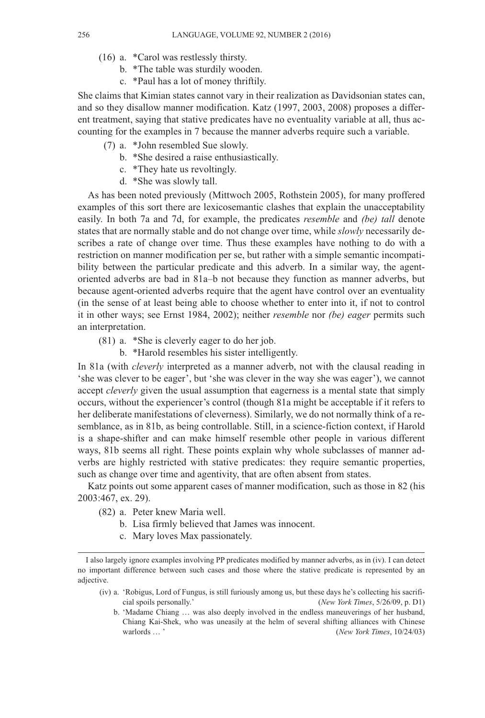- (16) a. \*Carol was restlessly thirsty.
	- b. \*The table was sturdily wooden.
	- c. \*Paul has a lot of money thriftily.

She claims that Kimian states cannot vary in their realization as Davidsonian states can, and so they disallow manner modification. Katz (1997, 2003, 2008) proposes a different treatment, saying that stative predicates have no eventuality variable at all, thus accounting for the examples in 7 because the manner adverbs require such a variable.

- (7) a. \*John resembled Sue slowly.
	- b. \*She desired a raise enthusiastically.
	- c. \*They hate us revoltingly.
	- d. \*She was slowly tall.

As has been noted previously (Mittwoch 2005, Rothstein 2005), for many proffered examples of this sort there are lexicosemantic clashes that explain the unacceptability easily. In both 7a and 7d, for example, the predicates *resemble* and *(be) tall* denote states that are normally stable and do not change over time, while *slowly* necessarily describes a rate of change over time. Thus these examples have nothing to do with a restriction on manner modification per se, but rather with a simple semantic incompatibility between the particular predicate and this adverb. In a similar way, the agentoriented adverbs are bad in 81a–b not because they function as manner adverbs, but because agent-oriented adverbs require that the agent have control over an eventuality (in the sense of at least being able to choose whether to enter into it, if not to control it in other ways; see Ernst 1984, 2002); neither *resemble* nor *(be) eager* permits such an interpretation.

- (81) a. \*She is cleverly eager to do her job.
	- b. \*Harold resembles his sister intelligently.

In 81a (with *cleverly* interpreted as a manner adverb, not with the clausal reading in 'she was clever to be eager', but 'she was clever in the way she was eager'), we cannot accept *cleverly* given the usual assumption that eagerness is a mental state that simply occurs, without the experiencer's control (though 81a might be acceptable if it refers to her deliberate manifestations of cleverness). Similarly, we do not normally think of a resemblance, as in 81b, as being controllable. Still, in a science-fiction context, if Harold is a shape-shifter and can make himself resemble other people in various different ways, 81b seems all right. These points explain why whole subclasses of manner adverbs are highly restricted with stative predicates: they require semantic properties, such as change over time and agentivity, that are often absent from states.

Katz points out some apparent cases of manner modification, such as those in 82 (his 2003:467, ex. 29).

- (82) a. Peter knew Maria well.
	- b. Lisa firmly believed that James was innocent.
	- c. Mary loves Max passionately.

I also largely ignore examples involving PP predicates modified by manner adverbs, as in (iv). I can detect no important difference between such cases and those where the stative predicate is represented by an adjective.

<sup>(</sup>iv) a. 'Robigus, Lord of Fungus, is still furiously among us, but these days he's collecting his sacrificial spoils personally.' (*New York Times*, 5/26/09, p. D1)

b. 'Madame Chiang … was also deeply involved in the endless maneuverings of her husband, Chiang Kai-Shek, who was uneasily at the helm of several shifting alliances with Chinese warlords … ' (*New York Times*, 10/24/03)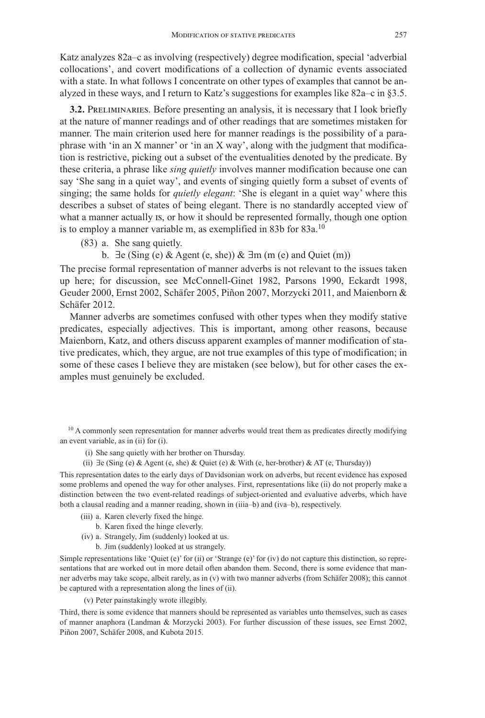Katz analyzes 82a–c as involving (respectively) degree modification, special 'adverbial collocations', and covert modifications of a collection of dynamic events associated with a state. In what follows I concentrate on other types of examples that cannot be analyzed in these ways, and I return to Katz's suggestions for examples like 82a–c in §3.5.

**3.2.** PRELIMINARIES. Before presenting an analysis, it is necessary that I look briefly at the nature of manner readings and of other readings that are sometimes mistaken for manner. The main criterion used here for manner readings is the possibility of a paraphrase with 'in an X manner' or 'in an X way', along with the judgment that modification is restrictive, picking out a subset of the eventualities denoted by the predicate. By these criteria, a phrase like *sing quietly* involves manner modification because one can say 'She sang in a quiet way', and events of singing quietly form a subset of events of singing; the same holds for *quietly elegant*: 'She is elegant in a quiet way' where this describes a subset of states of being elegant. There is no standardly accepted view of what a manner actually is, or how it should be represented formally, though one option is to employ a manner variable m, as exemplified in 83b for 83a.10

- (83) a. She sang quietly.
	- b.  $\exists e$  (Sing (e) & Agent (e, she)) &  $\exists m$  (m (e) and Quiet (m))

The precise formal representation of manner adverbs is not relevant to the issues taken up here; for discussion, see McConnell-Ginet 1982, Parsons 1990, Eckardt 1998, Geuder 2000, Ernst 2002, Schäfer 2005, Piñon 2007, Morzycki 2011, and Maienborn & Schäfer 2012.

Manner adverbs are sometimes confused with other types when they modify stative predicates, especially adjectives. This is important, among other reasons, because Maienborn, Katz, and others discuss apparent examples of manner modification of stative predicates, which, they argue, are not true examples of this type of modification; in some of these cases I believe they are mistaken (see below), but for other cases the examples must genuinely be excluded.

<sup>10</sup> A commonly seen representation for manner adverbs would treat them as predicates directly modifying an event variable, as in (ii) for (i).

- (i) She sang quietly with her brother on Thursday.
- i(ii) ∃e (Sing (e) & Agent (e, she) & Quiet (e) & With (e, her-brother) & AT (e, Thursday))

This representation dates to the early days of Davidsonian work on adverbs, but recent evidence has exposed some problems and opened the way for other analyses. First, representations like (ii) do not properly make a distinction between the two event-related readings of subject-oriented and evaluative adverbs, which have both a clausal reading and a manner reading, shown in (iiia–b) and (iva–b), respectively.

- (iii) a. Karen cleverly fixed the hinge.
	- b. Karen fixed the hinge cleverly.
- (iv) a. Strangely, Jim (suddenly) looked at us. b. Jim (suddenly) looked at us strangely.

Simple representations like 'Quiet (e)' for (ii) or 'Strange (e)' for (iv) do not capture this distinction, so representations that are worked out in more detail often abandon them. Second, there is some evidence that manner adverbs may take scope, albeit rarely, as in (v) with two manner adverbs (from Schäfer 2008); this cannot be captured with a representation along the lines of (ii).

(v) Peter painstakingly wrote illegibly.

Third, there is some evidence that manners should be represented as variables unto themselves, such as cases of manner anaphora (Landman & Morzycki 2003). For further discussion of these issues, see Ernst 2002, Piñon 2007, Schäfer 2008, and Kubota 2015.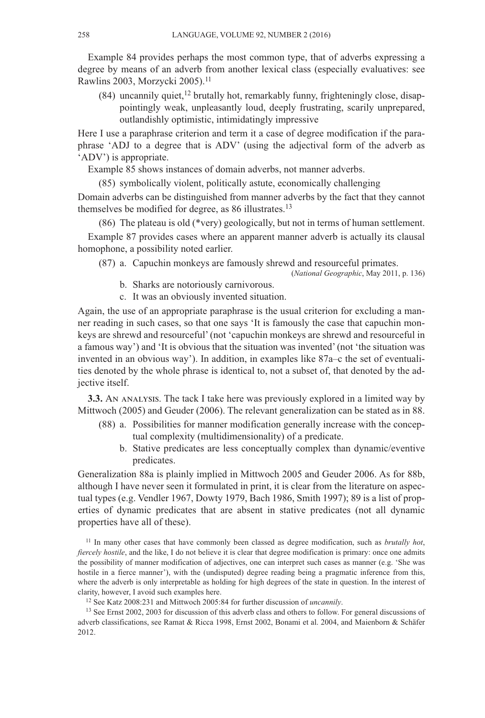Example 84 provides perhaps the most common type, that of adverbs expressing a degree by means of an adverb from another lexical class (especially evaluatives: see Rawlins 2003, Morzycki 2005). 11

(84) uncannily quiet, <sup>12</sup> brutally hot, remarkably funny, frighteningly close, disappointingly weak, unpleasantly loud, deeply frustrating, scarily unprepared, outlandishly optimistic, intimidatingly impressive

Here I use a paraphrase criterion and term it a case of degree modification if the paraphrase 'ADJ to a degree that is ADV' (using the adjectival form of the adverb as 'ADV') is appropriate.

Example 85 shows instances of domain adverbs, not manner adverbs.

(85) symbolically violent, politically astute, economically challenging

Domain adverbs can be distinguished from manner adverbs by the fact that they cannot themselves be modified for degree, as 86 illustrates.<sup>13</sup>

(86) The plateau is old (\*very) geologically, but not in terms of human settlement. Example 87 provides cases where an apparent manner adverb is actually its clausal homophone, a possibility noted earlier.

(87) a. Capuchin monkeys are famously shrewd and resourceful primates.

(*National Geographic*, May 2011, p. 136)

- b. Sharks are notoriously carnivorous.
- c. It was an obviously invented situation.

Again, the use of an appropriate paraphrase is the usual criterion for excluding a manner reading in such cases, so that one says 'It is famously the case that capuchin monkeys are shrewd and resourceful'(not 'capuchin monkeys are shrewd and resourceful in a famous way') and 'It is obvious that the situation was invented'(not 'the situation was invented in an obvious way'). In addition, in examples like 87a–c the set of eventualities denoted by the whole phrase is identical to, not a subset of, that denoted by the adjective itself.

**3.3.** An analysis. The tack I take here was previously explored in a limited way by Mittwoch (2005) and Geuder (2006). The relevant generalization can be stated as in 88.

- (88) a. Possibilities for manner modification generally increase with the conceptual complexity (multidimensionality) of a predicate.
	- b. Stative predicates are less conceptually complex than dynamic/eventive predicates.

Generalization 88a is plainly implied in Mittwoch 2005 and Geuder 2006. As for 88b, although I have never seen it formulated in print, it is clear from the literature on aspectual types (e.g. Vendler 1967, Dowty 1979, Bach 1986, Smith 1997); 89 is a list of properties of dynamic predicates that are absent in stative predicates (not all dynamic properties have all of these).

<sup>11</sup> In many other cases that have commonly been classed as degree modification, such as *brutally hot*, *fiercely hostile*, and the like, I do not believe it is clear that degree modification is primary: once one admits the possibility of manner modification of adjectives, one can interpret such cases as manner (e.g. 'She was hostile in a fierce manner'), with the (undisputed) degree reading being a pragmatic inference from this, where the adverb is only interpretable as holding for high degrees of the state in question. In the interest of clarity, however, I avoid such examples here.

<sup>12</sup> See Katz 2008:231 and Mittwoch 2005:84 for further discussion of *uncannily*.

<sup>13</sup> See Ernst 2002, 2003 for discussion of this adverb class and others to follow. For general discussions of adverb classifications, see Ramat & Ricca 1998, Ernst 2002, Bonami et al. 2004, and Maienborn & Schäfer 2012.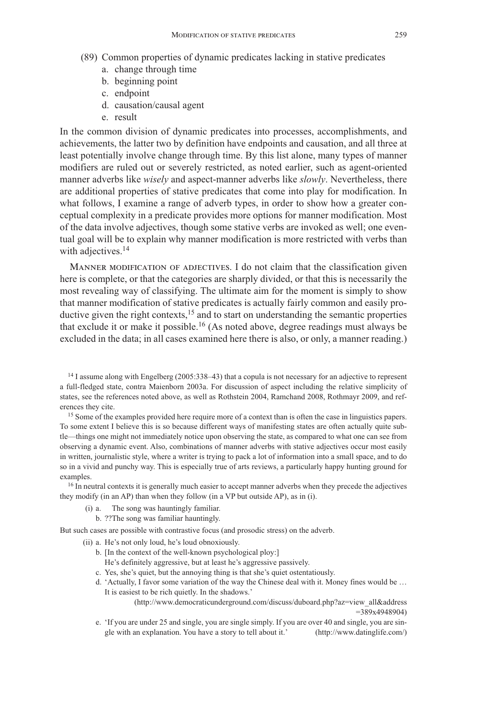- (89) Common properties of dynamic predicates lacking in stative predicates
	- a. change through time
	- b. beginning point
	- c. endpoint
	- d. causation/causal agent
	- e. result

In the common division of dynamic predicates into processes, accomplishments, and achievements, the latter two by definition have endpoints and causation, and all three at least potentially involve change through time. By this list alone, many types of manner modifiers are ruled out or severely restricted, as noted earlier, such as agent-oriented manner adverbs like *wisely* and aspect-manner adverbs like *slowly*. Nevertheless, there are additional properties of stative predicates that come into play for modification. In what follows, I examine a range of adverb types, in order to show how a greater conceptual complexity in a predicate provides more options for manner modification. Most of the data involve adjectives, though some stative verbs are invoked as well; one eventual goal will be to explain why manner modification is more restricted with verbs than with adjectives. 14

MANNER MODIFICATION OF ADJECTIVES. I do not claim that the classification given here is complete, or that the categories are sharply divided, or that this is necessarily the most revealing way of classifying. The ultimate aim for the moment is simply to show that manner modification of stative predicates is actually fairly common and easily productive given the right contexts,<sup>15</sup> and to start on understanding the semantic properties that exclude it or make it possible. <sup>16</sup> (As noted above, degree readings must always be excluded in the data; in all cases examined here there is also, or only, a manner reading.)

<sup>14</sup> I assume along with Engelberg (2005:338–43) that a copula is not necessary for an adjective to represent a full-fledged state, contra Maienborn 2003a. For discussion of aspect including the relative simplicity of states, see the references noted above, as well as Rothstein 2004, Ramchand 2008, Rothmayr 2009, and references they cite.

<sup>15</sup> Some of the examples provided here require more of a context than is often the case in linguistics papers. To some extent I believe this is so because different ways of manifesting states are often actually quite subtle—things one might not immediately notice upon observing the state, as compared to what one can see from observing a dynamic event. Also, combinations of manner adverbs with stative adjectives occur most easily in written, journalistic style, where a writer is trying to pack a lot of information into a small space, and to do so in a vivid and punchy way. This is especially true of arts reviews, a particularly happy hunting ground for examples.

<sup>16</sup> In neutral contexts it is generally much easier to accept manner adverbs when they precede the adjectives they modify (in an AP) than when they follow (in a VP but outside AP), as in (i).

- $(i)$  a. The song was hauntingly familiar.
	- b. ??The song was familiar hauntingly.

But such cases are possible with contrastive focus (and prosodic stress) on the adverb.

- i(ii) a. He's not only loud, he's loud obnoxiously.
	- b. [In the context of the well-known psychological ploy:]
		- He's definitely aggressive, but at least he's aggressive passively.
	- c. Yes, she's quiet, but the annoying thing is that she's quiet ostentatiously.
	- d. 'Actually, I favor some variation of the way the Chinese deal with it. Money fines would be … It is easiest to be rich quietly. In the shadows.'

[\(http://www.democraticunderground.com/discuss/duboard.php?az=view\\_all&address](http://www.democraticunderground.com/discuss/duboard.php?az=view_all&address=389x4948904) [=389x4948904\)](http://www.democraticunderground.com/discuss/duboard.php?az=view_all&address=389x4948904)

e. 'If you are under 25 and single, you are single simply. If you are over 40 and single, you are single with an explanation. You have a story to tell about it.' (http://www.datinglife.com/)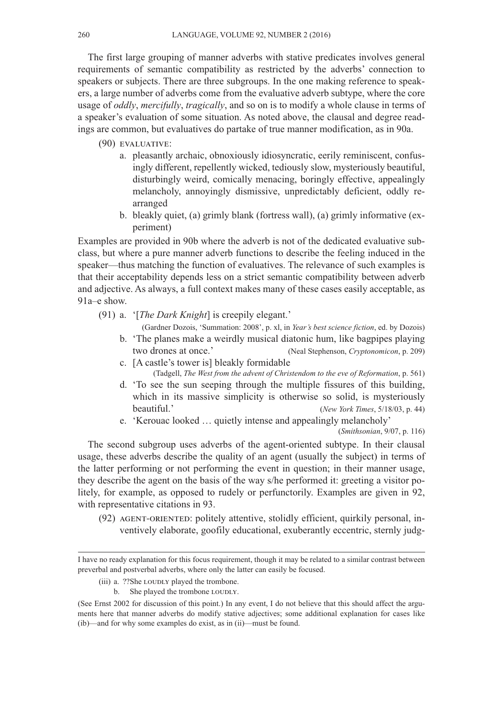The first large grouping of manner adverbs with stative predicates involves general requirements of semantic compatibility as restricted by the adverbs' connection to speakers or subjects. There are three subgroups. In the one making reference to speakers, a large number of adverbs come from the evaluative adverb subtype, where the core usage of *oddly*, *mercifully*, *tragically*, and so on is to modify a whole clause in terms of a speaker's evaluation of some situation. As noted above, the clausal and degree readings are common, but evaluatives do partake of true manner modification, as in 90a.

- (90) evaluative:
	- a. pleasantly archaic, obnoxiously idiosyncratic, eerily reminiscent, confusingly different, repellently wicked, tediously slow, mysteriously beautiful, disturbingly weird, comically menacing, boringly effective, appealingly melancholy, annoyingly dismissive, unpredictably deficient, oddly rearranged
	- b. bleakly quiet, (a) grimly blank (fortress wall), (a) grimly informative (experiment)

Examples are provided in 90b where the adverb is not of the dedicated evaluative subclass, but where a pure manner adverb functions to describe the feeling induced in the speaker—thus matching the function of evaluatives. The relevance of such examples is that their acceptability depends less on a strict semantic compatibility between adverb and adjective. As always, a full context makes many of these cases easily acceptable, as 91a–e show.

(91) a. '[*The Dark Knight*] is creepily elegant.'

(Gardner Dozois, 'Summation: 2008', p. xl, in *Year's best science fiction*, ed. by Dozois)

- b. 'The planes make a weirdly musical diatonic hum, like bagpipes playing two drones at once.' (Neal Stephenson, *Cryptonomicon*, p. 209)
- c. [A castle's tower is] bleakly formidable (Tadgell, *The West from the advent of Christendom to the eve of Reformation*, p. 561)
- d. 'To see the sun seeping through the multiple fissures of this building, which in its massive simplicity is otherwise so solid, is mysteriously beautiful.' (*New York Times*, 5/18/03, p. 44)
- e. 'Kerouac looked … quietly intense and appealingly melancholy'

(*Smithsonian*, 9/07, p. 116)

The second subgroup uses adverbs of the agent-oriented subtype. In their clausal usage, these adverbs describe the quality of an agent (usually the subject) in terms of the latter performing or not performing the event in question; in their manner usage, they describe the agent on the basis of the way s/he performed it: greeting a visitor politely, for example, as opposed to rudely or perfunctorily. Examples are given in 92, with representative citations in 93.

(92) AGENT-ORIENTED: politely attentive, stolidly efficient, quirkily personal, inventively elaborate, goofily educational, exuberantly eccentric, sternly judg-

I have no ready explanation for this focus requirement, though it may be related to a similar contrast between preverbal and postverbal adverbs, where only the latter can easily be focused.

<sup>(</sup>iii) a. ??She LOUDLY played the trombone.

b. She played the trombone LOUDLY.

<sup>(</sup>See Ernst 2002 for discussion of this point.) In any event, I do not believe that this should affect the arguments here that manner adverbs do modify stative adjectives; some additional explanation for cases like (ib)—and for why some examples do exist, as in (ii)—must be found.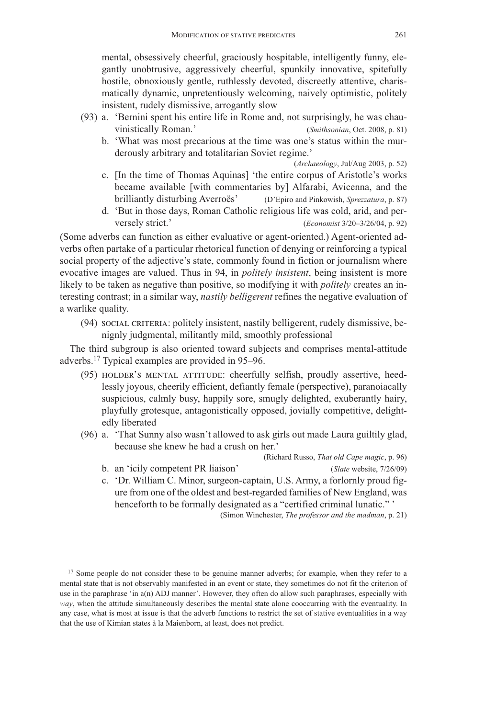mental, obsessively cheerful, graciously hospitable, intelligently funny, elegantly unobtrusive, aggressively cheerful, spunkily innovative, spitefully hostile, obnoxiously gentle, ruthlessly devoted, discreetly attentive, charismatically dynamic, unpretentiously welcoming, naively optimistic, politely insistent, rudely dismissive, arrogantly slow

- (93) a. 'Bernini spent his entire life in Rome and, not surprisingly, he was chauvinistically Roman.' (*Smithsonian*, Oct. 2008, p. 81)
	- b. 'What was most precarious at the time was one's status within the murderously arbitrary and totalitarian Soviet regime.'

(*Archaeology*, Jul/Aug 2003, p. 52)

- c. [In the time of Thomas Aquinas] 'the entire corpus of Aristotle's works became available [with commentaries by] Alfarabi, Avicenna, and the brilliantly disturbing Averroës' (D'Epiro and Pinkowish, *Sprezzatura*, p. 87)
- d. 'But in those days, Roman Catholic religious life was cold, arid, and perversely strict.' (*Economist* 3/20–3/26/04, p. 92)

(Some adverbs can function as either evaluative or agent-oriented.) Agent-oriented adverbs often partake of a particular rhetorical function of denying or reinforcing a typical social property of the adjective's state, commonly found in fiction or journalism where evocative images are valued. Thus in 94, in *politely insistent*, being insistent is more likely to be taken as negative than positive, so modifying it with *politely* creates an interesting contrast; in a similar way, *nastily belligerent* refines the negative evaluation of a warlike quality.

(94) social criteria: politely insistent, nastily belligerent, rudely dismissive, benignly judgmental, militantly mild, smoothly professional

The third subgroup is also oriented toward subjects and comprises mental-attitude adverbs. <sup>17</sup> Typical examples are provided in 95–96.

- (95) holder's mental attitude: cheerfully selfish, proudly assertive, heedlessly joyous, cheerily efficient, defiantly female (perspective), paranoiacally suspicious, calmly busy, happily sore, smugly delighted, exuberantly hairy, playfully grotesque, antagonistically opposed, jovially competitive, delightedly liberated
- (96) a. 'That Sunny also wasn't allowed to ask girls out made Laura guiltily glad, because she knew he had a crush on her.'

(Richard Russo, *That old Cape magic*, p. 96)

- b. an 'icily competent PR liaison' (*Slate* website, 7/26/09)
- c. 'Dr. William C. Minor, surgeon-captain, U.S. Army, a forlornly proud figure from one of the oldest and best-regarded families of New England, was henceforth to be formally designated as a "certified criminal lunatic." '

(Simon Winchester, *The professor and the madman*, p. 21)

<sup>17</sup> Some people do not consider these to be genuine manner adverbs; for example, when they refer to a mental state that is not observably manifested in an event or state, they sometimes do not fit the criterion of use in the paraphrase 'in a(n) ADJ manner'. However, they often do allow such paraphrases, especially with *way*, when the attitude simultaneously describes the mental state alone cooccurring with the eventuality. In any case, what is most at issue is that the adverb functions to restrict the set of stative eventualities in a way that the use of Kimian states à la Maienborn, at least, does not predict.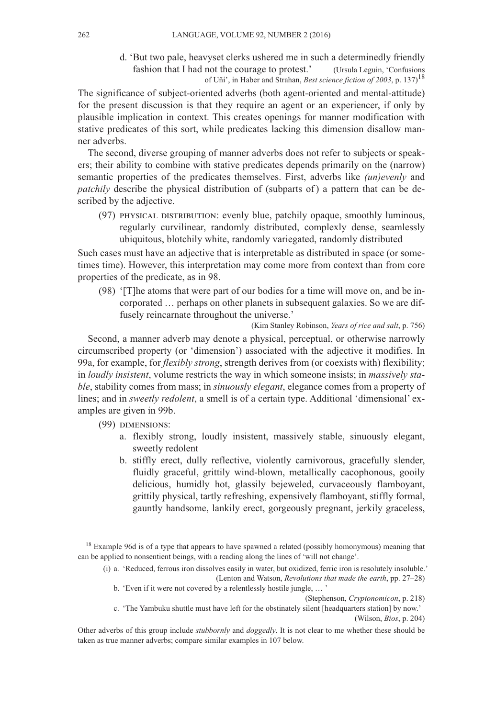d. 'But two pale, heavyset clerks ushered me in such a determinedly friendly fashion that I had not the courage to protest.' (Ursula Leguin, 'Confusions of Uñi', in Haber and Strahan, *Best science fiction of 2003*, p. 137) 18

The significance of subject-oriented adverbs (both agent-oriented and mental-attitude) for the present discussion is that they require an agent or an experiencer, if only by plausible implication in context. This creates openings for manner modification with stative predicates of this sort, while predicates lacking this dimension disallow manner adverbs.

The second, diverse grouping of manner adverbs does not refer to subjects or speakers; their ability to combine with stative predicates depends primarily on the (narrow) semantic properties of the predicates themselves. First, adverbs like *(un)evenly* and *patchily* describe the physical distribution of (subparts of) a pattern that can be described by the adjective.

(97) physical distribution: evenly blue, patchily opaque, smoothly luminous, regularly curvilinear, randomly distributed, complexly dense, seamlessly ubiquitous, blotchily white, randomly variegated, randomly distributed

Such cases must have an adjective that is interpretable as distributed in space (or sometimes time). However, this interpretation may come more from context than from core properties of the predicate, as in 98.

(98) '[T]he atoms that were part of our bodies for a time will move on, and be incorporated … perhaps on other planets in subsequent galaxies. So we are diffusely reincarnate throughout the universe.'

(Kim Stanley Robinson, *Years of rice and salt*, p. 756)

Second, a manner adverb may denote a physical, perceptual, or otherwise narrowly circumscribed property (or 'dimension') associated with the adjective it modifies. In 99a, for example, for *flexibly strong*, strength derives from (or coexists with) flexibility; in *loudly insistent*, volume restricts the way in which someone insists; in *massively stable*, stability comes from mass; in *sinuously elegant*, elegance comes from a property of lines; and in *sweetly redolent*, a smell is of a certain type. Additional 'dimensional' examples are given in 99b.

(99) dimensions:

- a. flexibly strong, loudly insistent, massively stable, sinuously elegant, sweetly redolent
- b. stiffly erect, dully reflective, violently carnivorous, gracefully slender, fluidly graceful, grittily wind-blown, metallically cacophonous, gooily delicious, humidly hot, glassily bejeweled, curvaceously flamboyant, grittily physical, tartly refreshing, expensively flamboyant, stiffly formal, gauntly handsome, lankily erect, gorgeously pregnant, jerkily graceless,

<sup>18</sup> Example 96d is of a type that appears to have spawned a related (possibly homonymous) meaning that can be applied to nonsentient beings, with a reading along the lines of 'will not change'.

- ii(i) a. 'Reduced, ferrous iron dissolves easily in water, but oxidized, ferric iron is resolutely insoluble.' (Lenton and Watson, *Revolutions that made the earth*, pp. 27–28)
	- b. 'Even if it were not covered by a relentlessly hostile jungle, … '

(Stephenson, *Cryptonomicon*, p. 218)

c. 'The Yambuku shuttle must have left for the obstinately silent [headquarters station] by now.' (Wilson, *Bios*, p. 204)

Other adverbs of this group include *stubbornly* and *doggedly*. It is not clear to me whether these should be taken as true manner adverbs; compare similar examples in 107 below.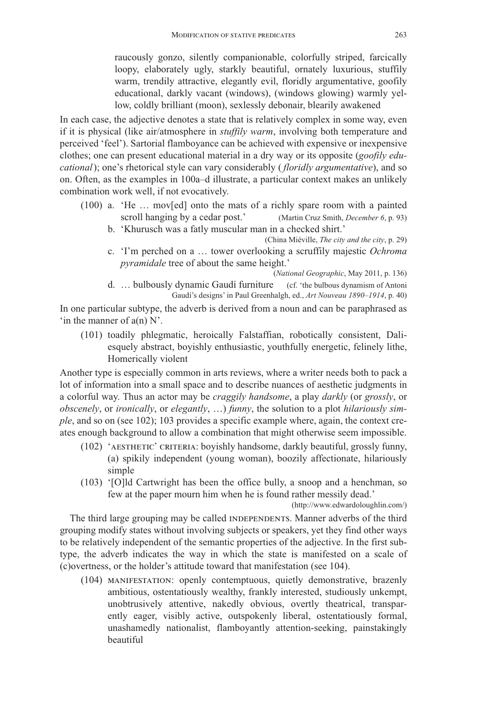raucously gonzo, silently companionable, colorfully striped, farcically loopy, elaborately ugly, starkly beautiful, ornately luxurious, stuffily warm, trendily attractive, elegantly evil, floridly argumentative, goofily educational, darkly vacant (windows), (windows glowing) warmly yellow, coldly brilliant (moon), sexlessly debonair, blearily awakened

In each case, the adjective denotes a state that is relatively complex in some way, even if it is physical (like air/atmosphere in *stuffily warm*, involving both temperature and perceived 'feel'). Sartorial flamboyance can be achieved with expensive or inexpensive clothes; one can present educational material in a dry way or its opposite (*goofily educational*); one's rhetorical style can vary considerably ( *floridly argumentative*), and so on. Often, as the examples in 100a–d illustrate, a particular context makes an unlikely combination work well, if not evocatively.

- (100) a. 'He … mov[ed] onto the mats of a richly spare room with a painted scroll hanging by a cedar post.' (Martin Cruz Smith, *December 6*, p. 93)
	- b. 'Khurusch was a fatly muscular man in a checked shirt.'

c. 'I'm perched on a … tower overlooking a scruffily majestic *Ochroma pyramidale* tree of about the same height.'

(*National Geographic*, May 2011, p. 136)

d. ... bulbously dynamic Gaudí furniture (cf. 'the bulbous dynamism of Antoni Gaudí's designs' in Paul Greenhalgh, ed., *Art Nouveau 1890–1914*, p. 40)

In one particular subtype, the adverb is derived from a noun and can be paraphrased as 'in the manner of  $a(n)$  N'.

(101) toadily phlegmatic, heroically Falstaffian, robotically consistent, Daliesquely abstract, boyishly enthusiastic, youthfully energetic, felinely lithe, Homerically violent

Another type is especially common in arts reviews, where a writer needs both to pack a lot of information into a small space and to describe nuances of aesthetic judgments in a colorful way. Thus an actor may be *craggily handsome*, a play *darkly* (or *grossly*, or *obscenely*, or *ironically*, or *elegantly*, …) *funny*, the solution to a plot *hilariously simple*, and so on (see 102); 103 provides a specific example where, again, the context creates enough background to allow a combination that might otherwise seem impossible.

- (102) 'AESTHETIC' CRITERIA: boyishly handsome, darkly beautiful, grossly funny, (a) spikily independent (young woman), boozily affectionate, hilariously simple
- (103) '[O]ld Cartwright has been the office bully, a snoop and a henchman, so few at the paper mourn him when he is found rather messily dead.'

(http://www.edwardoloughlin.com/)

The third large grouping may be called INDEPENDENTS. Manner adverbs of the third grouping modify states without involving subjects or speakers, yet they find other ways to be relatively independent of the semantic properties of the adjective. In the first subtype, the adverb indicates the way in which the state is manifested on a scale of (c)overtness, or the holder's attitude toward that manifestation (see 104).

(104) manifestation: openly contemptuous, quietly demonstrative, brazenly ambitious, ostentatiously wealthy, frankly interested, studiously unkempt, unobtrusively attentive, nakedly obvious, overtly theatrical, transparently eager, visibly active, outspokenly liberal, ostentatiously formal, unashamedly nationalist, flamboyantly attention-seeking, painstakingly beautiful

<sup>(</sup>China Miéville, *The city and the city*, p. 29)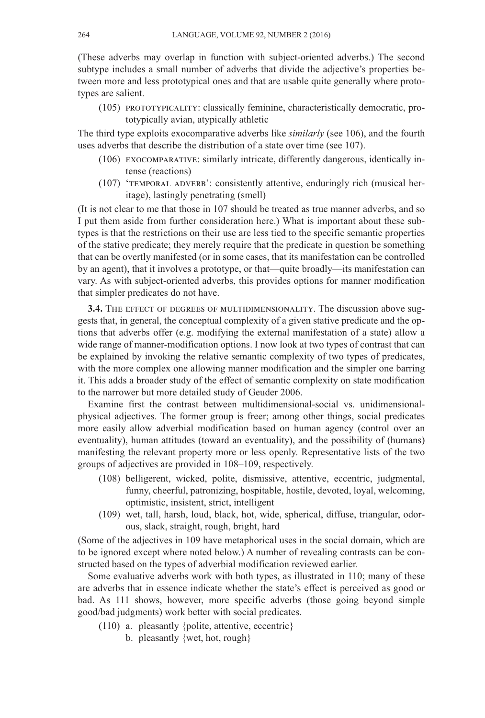(These adverbs may overlap in function with subject-oriented adverbs.) The second subtype includes a small number of adverbs that divide the adjective's properties between more and less prototypical ones and that are usable quite generally where prototypes are salient.

(105) prototypicality: classically feminine, characteristically democratic, prototypically avian, atypically athletic

The third type exploits exocomparative adverbs like *similarly* (see 106), and the fourth uses adverbs that describe the distribution of a state over time (see 107).

- (106) exocomparative: similarly intricate, differently dangerous, identically intense (reactions)
- (107) 'TEMPORAL ADVERB': consistently attentive, enduringly rich (musical heritage), lastingly penetrating (smell)

(It is not clear to me that those in 107 should be treated as true manner adverbs, and so I put them aside from further consideration here.) What is important about these subtypes is that the restrictions on their use are less tied to the specific semantic properties of the stative predicate; they merely require that the predicate in question be something that can be overtly manifested (or in some cases, that its manifestation can be controlled by an agent), that it involves a prototype, or that—quite broadly—its manifestation can vary. As with subject-oriented adverbs, this provides options for manner modification that simpler predicates do not have.

**3.4.** The effect of degrees of multidimensionality. The discussion above suggests that, in general, the conceptual complexity of a given stative predicate and the options that adverbs offer (e.g. modifying the external manifestation of a state) allow a wide range of manner-modification options. I now look at two types of contrast that can be explained by invoking the relative semantic complexity of two types of predicates, with the more complex one allowing manner modification and the simpler one barring it. This adds a broader study of the effect of semantic complexity on state modification to the narrower but more detailed study of Geuder 2006.

Examine first the contrast between multidimensional-social vs. unidimensionalphysical adjectives. The former group is freer; among other things, social predicates more easily allow adverbial modification based on human agency (control over an eventuality), human attitudes (toward an eventuality), and the possibility of (humans) manifesting the relevant property more or less openly. Representative lists of the two groups of adjectives are provided in 108–109, respectively.

- (108) belligerent, wicked, polite, dismissive, attentive, eccentric, judgmental, funny, cheerful, patronizing, hospitable, hostile, devoted, loyal, welcoming, optimistic, insistent, strict, intelligent
- (109) wet, tall, harsh, loud, black, hot, wide, spherical, diffuse, triangular, odorous, slack, straight, rough, bright, hard

(Some of the adjectives in 109 have metaphorical uses in the social domain, which are to be ignored except where noted below.) A number of revealing contrasts can be constructed based on the types of adverbial modification reviewed earlier.

Some evaluative adverbs work with both types, as illustrated in 110; many of these are adverbs that in essence indicate whether the state's effect is perceived as good or bad. As 111 shows, however, more specific adverbs (those going beyond simple good/bad judgments) work better with social predicates.

- (110) a. pleasantly {polite, attentive, eccentric}
	- b. pleasantly {wet, hot, rough}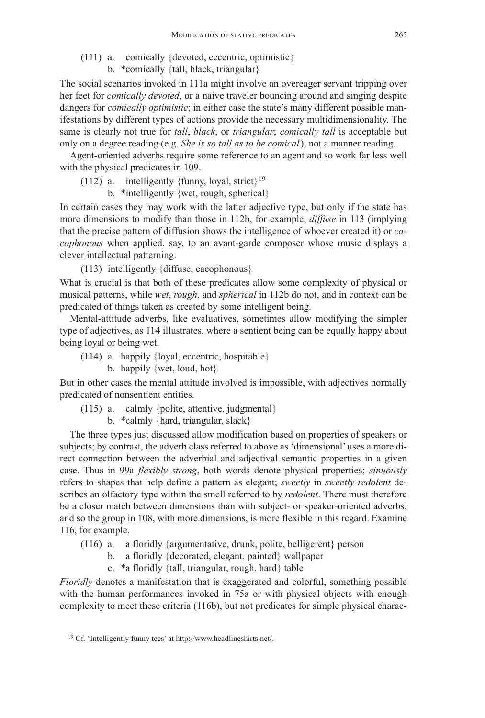- (111) a. comically {devoted, eccentric, optimistic}
	- b. \*comically {tall, black, triangular}

The social scenarios invoked in 111a might involve an overeager servant tripping over her feet for *comically devoted*, or a naive traveler bouncing around and singing despite dangers for *comically optimistic*; in either case the state's many different possible manifestations by different types of actions provide the necessary multidimensionality. The same is clearly not true for *tall*, *black*, or *triangular*; *comically tall* is acceptable but only on a degree reading (e.g. *She is so tall as to be comical*), not a manner reading.

Agent-oriented adverbs require some reference to an agent and so work far less well with the physical predicates in 109.

- (112) a. intelligently {funny, loyal, strict}<sup>19</sup>
	- b. \*intelligently {wet, rough, spherical}

In certain cases they may work with the latter adjective type, but only if the state has more dimensions to modify than those in 112b, for example, *diffuse* in 113 (implying that the precise pattern of diffusion shows the intelligence of whoever created it) or *cacophonous* when applied, say, to an avant-garde composer whose music displays a clever intellectual patterning.

(113) intelligently {diffuse, cacophonous}

What is crucial is that both of these predicates allow some complexity of physical or musical patterns, while *wet*, *rough*, and *spherical* in 112b do not, and in context can be predicated of things taken as created by some intelligent being.

Mental-attitude adverbs, like evaluatives, sometimes allow modifying the simpler type of adjectives, as 114 illustrates, where a sentient being can be equally happy about being loyal or being wet.

- (114) a. happily {loyal, eccentric, hospitable}
	- b. happily {wet, loud, hot}

But in other cases the mental attitude involved is impossible, with adjectives normally predicated of nonsentient entities.

- (115) a.  $\alpha$  calmly {polite, attentive, judgmental}
	- b. \*calmly {hard, triangular, slack}

The three types just discussed allow modification based on properties of speakers or subjects; by contrast, the adverb class referred to above as 'dimensional' uses a more direct connection between the adverbial and adjectival semantic properties in a given case. Thus in 99a *flexibly strong*, both words denote physical properties; *sinuously* refers to shapes that help define a pattern as elegant; *sweetly* in *sweetly redolent* describes an olfactory type within the smell referred to by *redolent*. There must therefore be a closer match between dimensions than with subject- or speaker-oriented adverbs, and so the group in 108, with more dimensions, is more flexible in this regard. Examine 116, for example.

- (116) a.  $\alpha$  a floridly {argumentative, drunk, polite, belligerent} person
	- b. a floridly {decorated, elegant, painted} wallpaper
	- c. \*a floridly {tall, triangular, rough, hard} table

*Floridly* denotes a manifestation that is exaggerated and colorful, something possible with the human performances invoked in 75a or with physical objects with enough complexity to meet these criteria (116b), but not predicates for simple physical charac-

<sup>19</sup> Cf. 'Intelligently funny tees' at http://www.headlineshirts.net/.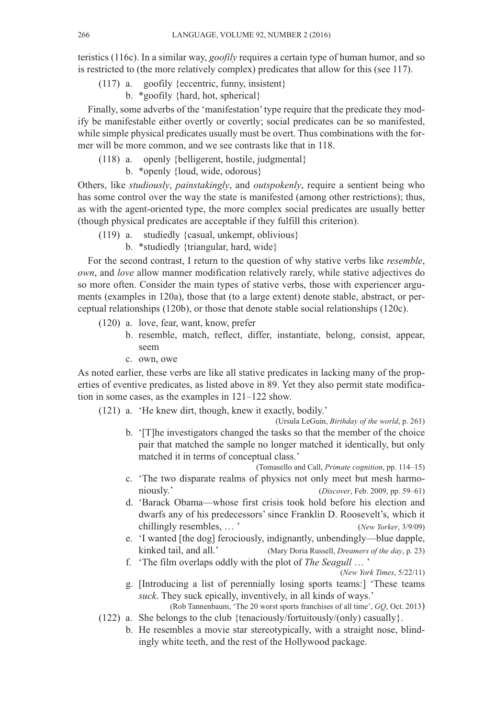teristics (116c). In a similar way, *goofily* requires a certain type of human humor, and so is restricted to (the more relatively complex) predicates that allow for this (see 117).

- $(117)$  a. goofily {eccentric, funny, insistent}
	- b. \*goofily {hard, hot, spherical}

Finally, some adverbs of the 'manifestation'type require that the predicate they modify be manifestable either overtly or covertly; social predicates can be so manifested, while simple physical predicates usually must be overt. Thus combinations with the former will be more common, and we see contrasts like that in 118.

- $(118)$  a. openly {belligerent, hostile, judgmental}
	- b. \*openly {loud, wide, odorous}

Others, like *studiously*, *painstakingly*, and *outspokenly*, require a sentient being who has some control over the way the state is manifested (among other restrictions); thus, as with the agent-oriented type, the more complex social predicates are usually better (though physical predicates are acceptable if they fulfill this criterion).

- (119) a. studiedly {casual, unkempt, oblivious}
	- b. \*studiedly {triangular, hard, wide}

For the second contrast, I return to the question of why stative verbs like *resemble*, *own*, and *love* allow manner modification relatively rarely, while stative adjectives do so more often. Consider the main types of stative verbs, those with experiencer arguments (examples in 120a), those that (to a large extent) denote stable, abstract, or perceptual relationships (120b), or those that denote stable social relationships (120c).

- (120) a. love, fear, want, know, prefer
	- b. resemble, match, reflect, differ, instantiate, belong, consist, appear, seem
	- c. own, owe

As noted earlier, these verbs are like all stative predicates in lacking many of the properties of eventive predicates, as listed above in 89. Yet they also permit state modification in some cases, as the examples in 121–122 show.

(121) a. 'He knew dirt, though, knew it exactly, bodily.'

(Ursula LeGuin, *Birthday of the world*, p. 261)

b. '[T]he investigators changed the tasks so that the member of the choice pair that matched the sample no longer matched it identically, but only matched it in terms of conceptual class.'

(Tomasello and Call, *Primate cognition*, pp. 114–15)

- c. 'The two disparate realms of physics not only meet but mesh harmoniously.' (*Discover*, Feb. 2009, pp. 59–61)
- d. 'Barack Obama—whose first crisis took hold before his election and dwarfs any of his predecessors' since Franklin D. Roosevelt's, which it chillingly resembles, … ' (*New Yorker*, 3/9/09)
- e. 'I wanted [the dog] ferociously, indignantly, unbendingly—blue dapple, kinked tail, and all.' (Mary Doria Russell, *Dreamers of the day*, p. 23)
- f. 'The film overlaps oddly with the plot of *The Seagull* … '

(*New York Times*, 5/22/11)

g. [Introducing a list of perennially losing sports teams:] 'These teams *suck*. They suck epically, inventively, in all kinds of ways.'

(Rob Tannenbaum, 'The 20 worst sports franchises of all time', *GQ*, Oct. 2013)

- (122) a. She belongs to the club {tenaciously/fortuitously/(only) casually}.
	- b. He resembles a movie star stereotypically, with a straight nose, blindingly white teeth, and the rest of the Hollywood package.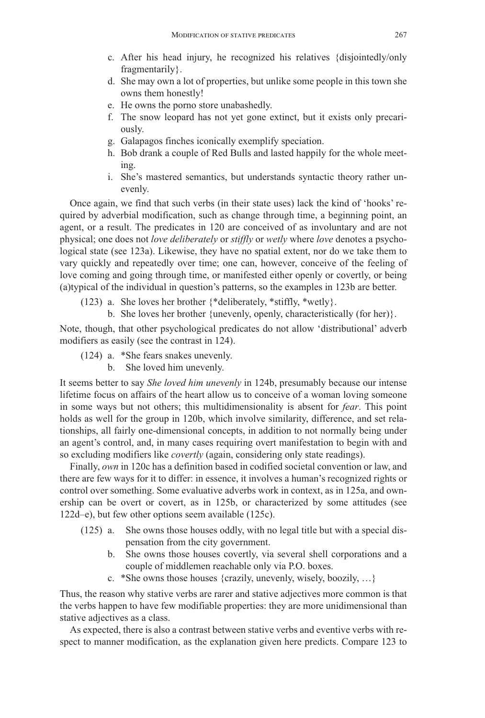- c. After his head injury, he recognized his relatives {disjointedly/only fragmentarily}.
- d. She may own a lot of properties, but unlike some people in this town she owns them honestly!
- e. He owns the porno store unabashedly.
- f. The snow leopard has not yet gone extinct, but it exists only precariously.
- g. Galapagos finches iconically exemplify speciation.
- h. Bob drank a couple of Red Bulls and lasted happily for the whole meeting.
- i. She's mastered semantics, but understands syntactic theory rather unevenly.

Once again, we find that such verbs (in their state uses) lack the kind of 'hooks' required by adverbial modification, such as change through time, a beginning point, an agent, or a result. The predicates in 120 are conceived of as involuntary and are not physical; one does not *love deliberately* or *stiffly* or *wetly* where *love* denotes a psychological state (see 123a). Likewise, they have no spatial extent, nor do we take them to vary quickly and repeatedly over time; one can, however, conceive of the feeling of love coming and going through time, or manifested either openly or covertly, or being (a)typical of the individual in question's patterns, so the examples in 123b are better.

- (123) a. She loves her brother {\*deliberately, \*stiffly, \*wetly}.
	- b. She loves her brother {unevenly, openly, characteristically (for her)}.

Note, though, that other psychological predicates do not allow 'distributional' adverb modifiers as easily (see the contrast in 124).

- (124) a. \*She fears snakes unevenly.
	- b. She loved him unevenly.

It seems better to say *She loved him unevenly* in 124b, presumably because our intense lifetime focus on affairs of the heart allow us to conceive of a woman loving someone in some ways but not others; this multidimensionality is absent for *fear*. This point holds as well for the group in 120b, which involve similarity, difference, and set relationships, all fairly one-dimensional concepts, in addition to not normally being under an agent's control, and, in many cases requiring overt manifestation to begin with and so excluding modifiers like *covertly* (again, considering only state readings).

Finally, *own* in 120c has a definition based in codified societal convention or law, and there are few ways for it to differ: in essence, it involves a human's recognized rights or control over something. Some evaluative adverbs work in context, as in 125a, and ownership can be overt or covert, as in 125b, or characterized by some attitudes (see 122d–e), but few other options seem available (125c).

- $(125)$  a. She owns those houses oddly, with no legal title but with a special dispensation from the city government.
	- b. She owns those houses covertly, via several shell corporations and a couple of middlemen reachable only via P.O. boxes.
	- c. \*She owns those houses {crazily, unevenly, wisely, boozily, …}

Thus, the reason why stative verbs are rarer and stative adjectives more common is that the verbs happen to have few modifiable properties: they are more unidimensional than stative adjectives as a class.

As expected, there is also a contrast between stative verbs and eventive verbs with respect to manner modification, as the explanation given here predicts. Compare 123 to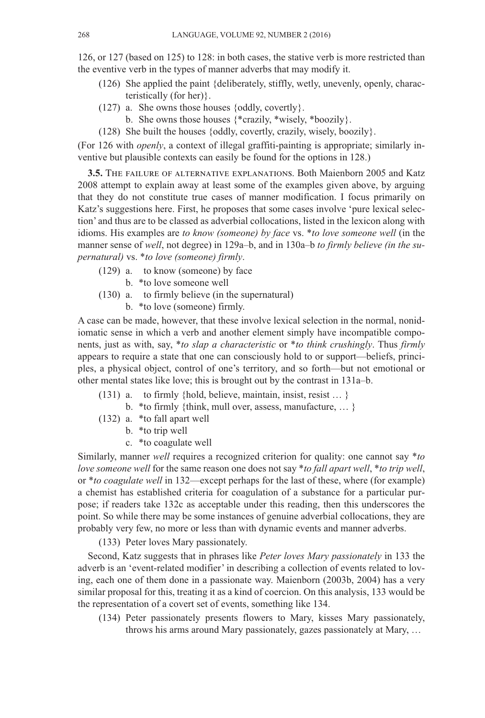126, or 127 (based on 125) to 128: in both cases, the stative verb is more restricted than the eventive verb in the types of manner adverbs that may modify it.

- (126) She applied the paint {deliberately, stiffly, wetly, unevenly, openly, characteristically (for her)}.
- (127) a. She owns those houses {oddly, covertly}.
	- b. She owns those houses {\*crazily, \*wisely, \*boozily}.
- (128) She built the houses {oddly, covertly, crazily, wisely, boozily}.

(For 126 with *openly*, a context of illegal graffiti-painting is appropriate; similarly inventive but plausible contexts can easily be found for the options in 128.)

**3.5.** The failure of alternative explanations. Both Maienborn 2005 and Katz 2008 attempt to explain away at least some of the examples given above, by arguing that they do not constitute true cases of manner modification. I focus primarily on Katz's suggestions here. First, he proposes that some cases involve 'pure lexical selection' and thus are to be classed as adverbial collocations, listed in the lexicon along with idioms. His examples are *to know (someone) by face* vs. \**to love someone well* (in the manner sense of *well*, not degree) in 129a–b, and in 130a–b *to firmly believe (in the supernatural)* vs. *\*to love (someone) firmly*.

- $(129)$  a. to know (someone) by face
	- b. \*to love someone well
- $(130)$  a. to firmly believe (in the supernatural)
	- b. \*to love (someone) firmly.

A case can be made, however, that these involve lexical selection in the normal, nonidiomatic sense in which a verb and another element simply have incompatible components, just as with, say, *\*to slap a characteristic* or \**to think crushingly*. Thus *firmly* appears to require a state that one can consciously hold to or support—beliefs, principles, a physical object, control of one's territory, and so forth—but not emotional or other mental states like love; this is brought out by the contrast in 131a–b.

- (131) a. to firmly {hold, believe, maintain, insist, resist  $\dots$ }
	- b. \*to firmly {think, mull over, assess, manufacture, … }
- (132) a. \*to fall apart well
	- b. \*to trip well
	- c. \*to coagulate well

Similarly, manner *well* requires a recognized criterion for quality: one cannot say *\*to love someone well* for the same reason one does not say *\*to fall apart well*, *\*to trip well*, or *\*to coagulate well* in 132—except perhaps for the last of these, where (for example) a chemist has established criteria for coagulation of a substance for a particular purpose; if readers take 132c as acceptable under this reading, then this underscores the point. So while there may be some instances of genuine adverbial collocations, they are probably very few, no more or less than with dynamic events and manner adverbs.

(133) Peter loves Mary passionately.

Second, Katz suggests that in phrases like *Peter loves Mary passionately* in 133 the adverb is an 'event-related modifier' in describing a collection of events related to loving, each one of them done in a passionate way. Maienborn (2003b, 2004) has a very similar proposal for this, treating it as a kind of coercion. On this analysis, 133 would be the representation of a covert set of events, something like 134.

(134) Peter passionately presents flowers to Mary, kisses Mary passionately, throws his arms around Mary passionately, gazes passionately at Mary, …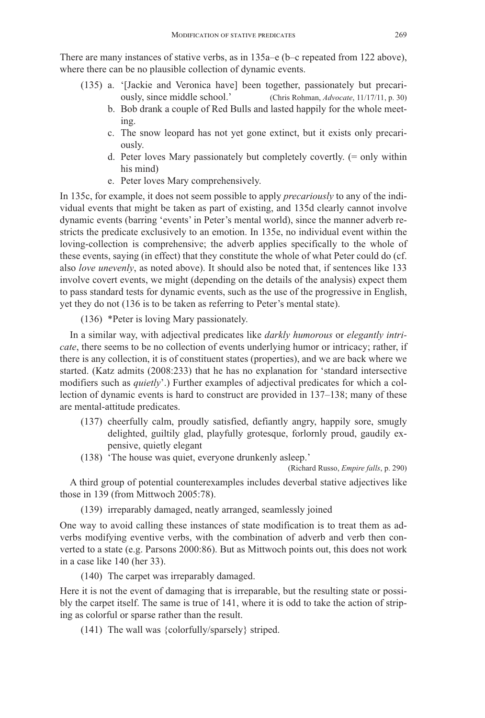There are many instances of stative verbs, as in 135a–e (b–c repeated from 122 above), where there can be no plausible collection of dynamic events.

- (135) a. '[Jackie and Veronica have] been together, passionately but precariously, since middle school.' (Chris Rohman, *Advocate*, 11/17/11, p. 30)
	- b. Bob drank a couple of Red Bulls and lasted happily for the whole meeting.
	- c. The snow leopard has not yet gone extinct, but it exists only precariously.
	- d. Peter loves Mary passionately but completely covertly. (= only within his mind)
	- e. Peter loves Mary comprehensively.

In 135c, for example, it does not seem possible to apply *precariously* to any of the individual events that might be taken as part of existing, and 135d clearly cannot involve dynamic events (barring 'events' in Peter's mental world), since the manner adverb restricts the predicate exclusively to an emotion. In 135e, no individual event within the loving-collection is comprehensive; the adverb applies specifically to the whole of these events, saying (in effect) that they constitute the whole of what Peter could do (cf. also *love unevenly*, as noted above). It should also be noted that, if sentences like 133 involve covert events, we might (depending on the details of the analysis) expect them to pass standard tests for dynamic events, such as the use of the progressive in English, yet they do not (136 is to be taken as referring to Peter's mental state).

(136) \*Peter is loving Mary passionately.

In a similar way, with adjectival predicates like *darkly humorous* or *elegantly intricate*, there seems to be no collection of events underlying humor or intricacy; rather, if there is any collection, it is of constituent states (properties), and we are back where we started. (Katz admits (2008:233) that he has no explanation for 'standard intersective modifiers such as *quietly*'.) Further examples of adjectival predicates for which a collection of dynamic events is hard to construct are provided in 137–138; many of these are mental-attitude predicates.

- (137) cheerfully calm, proudly satisfied, defiantly angry, happily sore, smugly delighted, guiltily glad, playfully grotesque, forlornly proud, gaudily expensive, quietly elegant
- (138) 'The house was quiet, everyone drunkenly asleep.'

(Richard Russo, *Empire falls*, p. 290)

A third group of potential counterexamples includes deverbal stative adjectives like those in 139 (from Mittwoch 2005:78).

(139) irreparably damaged, neatly arranged, seamlessly joined

One way to avoid calling these instances of state modification is to treat them as adverbs modifying eventive verbs, with the combination of adverb and verb then converted to a state (e.g. Parsons 2000:86). But as Mittwoch points out, this does not work in a case like 140 (her 33).

(140) The carpet was irreparably damaged.

Here it is not the event of damaging that is irreparable, but the resulting state or possibly the carpet itself. The same is true of 141, where it is odd to take the action of striping as colorful or sparse rather than the result.

(141) The wall was {colorfully/sparsely} striped.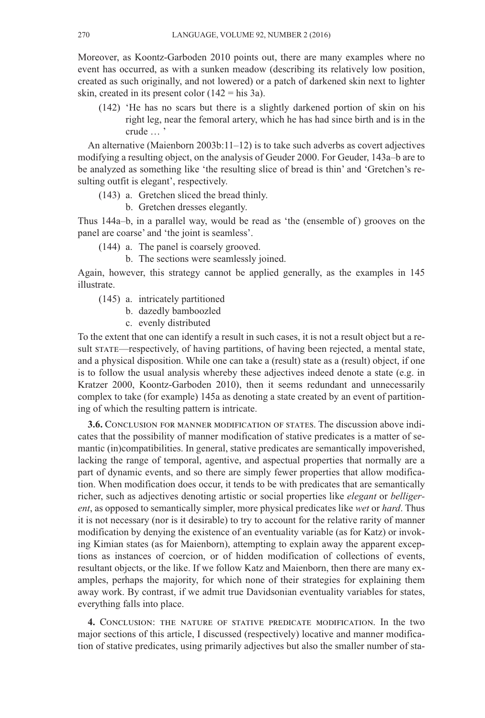Moreover, as Koontz-Garboden 2010 points out, there are many examples where no event has occurred, as with a sunken meadow (describing its relatively low position, created as such originally, and not lowered) or a patch of darkened skin next to lighter skin, created in its present color  $(142 = \text{his } 3a)$ .

(142) 'He has no scars but there is a slightly darkened portion of skin on his right leg, near the femoral artery, which he has had since birth and is in the crude … '

An alternative (Maienborn 2003b:11–12) is to take such adverbs as covert adjectives modifying a resulting object, on the analysis of Geuder 2000. For Geuder, 143a–b are to be analyzed as something like 'the resulting slice of bread is thin' and 'Gretchen's resulting outfit is elegant', respectively.

- (143) a. Gretchen sliced the bread thinly.
	- b. Gretchen dresses elegantly.

Thus 144a–b, in a parallel way, would be read as 'the (ensemble of) grooves on the panel are coarse' and 'the joint is seamless'.

- (144) a. The panel is coarsely grooved.
	- b. The sections were seamlessly joined.

Again, however, this strategy cannot be applied generally, as the examples in 145 illustrate.

- (145) a. intricately partitioned
	- b. dazedly bamboozled
	- c. evenly distributed

To the extent that one can identify a result in such cases, it is not a result object but a result state—respectively, of having partitions, of having been rejected, a mental state, and a physical disposition. While one can take a (result) state as a (result) object, if one is to follow the usual analysis whereby these adjectives indeed denote a state (e.g. in Kratzer 2000, Koontz-Garboden 2010), then it seems redundant and unnecessarily complex to take (for example) 145a as denoting a state created by an event of partitioning of which the resulting pattern is intricate.

**3.6.** Conclusion for manner modification of states. The discussion above indicates that the possibility of manner modification of stative predicates is a matter of semantic (in)compatibilities. In general, stative predicates are semantically impoverished, lacking the range of temporal, agentive, and aspectual properties that normally are a part of dynamic events, and so there are simply fewer properties that allow modification. When modification does occur, it tends to be with predicates that are semantically richer, such as adjectives denoting artistic or social properties like *elegant* or *belligerent*, as opposed to semantically simpler, more physical predicates like *wet* or *hard*. Thus it is not necessary (nor is it desirable) to try to account for the relative rarity of manner modification by denying the existence of an eventuality variable (as for Katz) or invoking Kimian states (as for Maienborn), attempting to explain away the apparent exceptions as instances of coercion, or of hidden modification of collections of events, resultant objects, or the like. If we follow Katz and Maienborn, then there are many examples, perhaps the majority, for which none of their strategies for explaining them away work. By contrast, if we admit true Davidsonian eventuality variables for states, everything falls into place.

**4.** Conclusion: the nature of stative predicate modification. In the two major sections of this article, I discussed (respectively) locative and manner modification of stative predicates, using primarily adjectives but also the smaller number of sta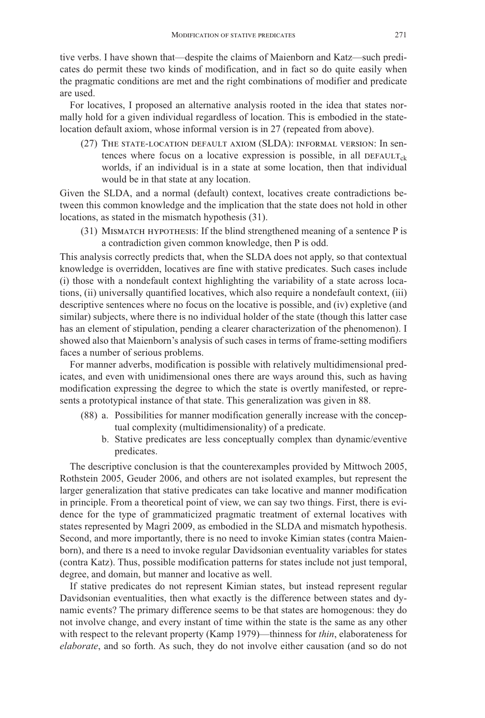tive verbs. I have shown that—despite the claims of Maienborn and Katz—such predicates do permit these two kinds of modification, and in fact so do quite easily when the pragmatic conditions are met and the right combinations of modifier and predicate are used.

For locatives, I proposed an alternative analysis rooted in the idea that states normally hold for a given individual regardless of location. This is embodied in the statelocation default axiom, whose informal version is in 27 (repeated from above).

(27) The state-location default axiom (SLDA): informal version: In sentences where focus on a locative expression is possible, in all  $DEFAULT_{ck}$ worlds, if an individual is in a state at some location, then that individual would be in that state at any location.

Given the SLDA, and a normal (default) context, locatives create contradictions between this common knowledge and the implication that the state does not hold in other locations, as stated in the mismatch hypothesis (31).

(31) Mismatch hypothesis: If the blind strengthened meaning of a sentence P is a contradiction given common knowledge, then P is odd.

This analysis correctly predicts that, when the SLDA does not apply, so that contextual knowledge is overridden, locatives are fine with stative predicates. Such cases include (i) those with a nondefault context highlighting the variability of a state across locations, (ii) universally quantified locatives, which also require a nondefault context, (iii) descriptive sentences where no focus on the locative is possible, and (iv) expletive (and similar) subjects, where there is no individual holder of the state (though this latter case has an element of stipulation, pending a clearer characterization of the phenomenon). I showed also that Maienborn's analysis of such cases in terms of frame-setting modifiers faces a number of serious problems.

For manner adverbs, modification is possible with relatively multidimensional predicates, and even with unidimensional ones there are ways around this, such as having modification expressing the degree to which the state is overtly manifested, or represents a prototypical instance of that state. This generalization was given in 88.

- (88) a. Possibilities for manner modification generally increase with the conceptual complexity (multidimensionality) of a predicate.
	- b. Stative predicates are less conceptually complex than dynamic/eventive predicates.

The descriptive conclusion is that the counterexamples provided by Mittwoch 2005, Rothstein 2005, Geuder 2006, and others are not isolated examples, but represent the larger generalization that stative predicates can take locative and manner modification in principle. From a theoretical point of view, we can say two things. First, there is evidence for the type of grammaticized pragmatic treatment of external locatives with states represented by Magri 2009, as embodied in the SLDA and mismatch hypothesis. Second, and more importantly, there is no need to invoke Kimian states (contra Maienborn), and there is a need to invoke regular Davidsonian eventuality variables for states (contra Katz). Thus, possible modification patterns for states include not just temporal, degree, and domain, but manner and locative as well.

If stative predicates do not represent Kimian states, but instead represent regular Davidsonian eventualities, then what exactly is the difference between states and dynamic events? The primary difference seems to be that states are homogenous: they do not involve change, and every instant of time within the state is the same as any other with respect to the relevant property (Kamp 1979)—thinness for *thin*, elaborateness for *elaborate*, and so forth. As such, they do not involve either causation (and so do not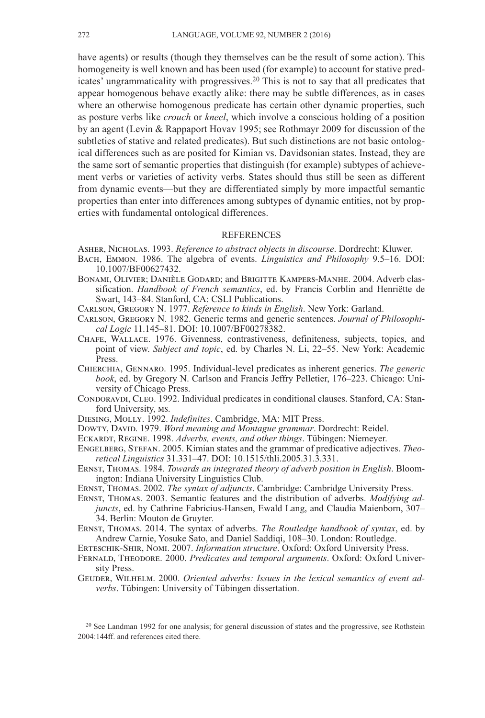have agents) or results (though they themselves can be the result of some action). This homogeneity is well known and has been used (for example) to account for stative predicates' ungrammaticality with progressives. <sup>20</sup> This is not to say that all predicates that appear homogenous behave exactly alike: there may be subtle differences, as in cases where an otherwise homogenous predicate has certain other dynamic properties, such as posture verbs like *crouch* or *kneel*, which involve a conscious holding of a position by an agent (Levin & Rappaport Hovav 1995; see Rothmayr 2009 for discussion of the subtleties of stative and related predicates). But such distinctions are not basic ontological differences such as are posited for Kimian vs. Davidsonian states. Instead, they are the same sort of semantic properties that distinguish (for example) subtypes of achievement verbs or varieties of activity verbs. States should thus still be seen as different from dynamic events—but they are differentiated simply by more impactful semantic properties than enter into differences among subtypes of dynamic entities, not by properties with fundamental ontological differences.

## REFERENCES

Asher, Nicholas. 1993. *Reference to abstract objects in discourse*. Dordrecht: Kluwer.

- Bach, Emmon. 1986. The algebra of events. *Linguistics and Philosophy* 9.5–16. DOI: [10.1007/BF00627432.](http://dx.doi.org/10.1007/BF00627432)
- Bonami, Olivier; Danièle Godard; and Brigitte Kampers-Manhe. 2004. Adverb classification. *Handbook of French semantics*, ed. by Francis Corblin and Henriëtte de Swart, 143–84. Stanford, CA: CSLI Publications.

Carlson, Gregory N. 1977. *Reference to kinds in English*. New York: Garland.

- Carlson, Gregory N. 1982. Generic terms and generic sentences. *Journal of Philosophical Logic* 11.145–81. DOI: [10.1007/BF00278382.](http://dx.doi.org/10.1007/BF00278382)
- Chafe, Wallace. 1976. Givenness, contrastiveness, definiteness, subjects, topics, and point of view. *Subject and topic*, ed. by Charles N. Li, 22–55. New York: Academic Press.
- Chierchia, Gennaro. 1995. Individual-level predicates as inherent generics. *The generic book*, ed. by Gregory N. Carlson and Francis Jeffry Pelletier, 176–223. Chicago: University of Chicago Press.
- CONDORAVDI, CLEO. 1992. Individual predicates in conditional clauses. Stanford, CA: Stanford University, ms.
- Diesing, Molly. 1992. *Indefinites*. Cambridge, MA: MIT Press.
- Dowty, David. 1979. *Word meaning and Montague grammar*. Dordrecht: Reidel.

Eckardt, Regine. 1998. *Adverbs, events, and other things*. Tübingen: Niemeyer.

- Engelberg, Stefan. 2005. Kimian states and the grammar of predicative adjectives. *Theoretical Linguistics* 31.331–47. DOI: [10.1515/thli.2005.31.3.331.](http://dx.doi.org/10.1515/thli.2005.31.3.331)
- Ernst, Thomas. 1984. *Towards an integrated theory of adverb position in English*. Bloomington: Indiana University Linguistics Club.
- Ernst, Thomas. 2002. *The syntax of adjuncts*. Cambridge: Cambridge University Press.
- Ernst, Thomas. 2003. Semantic features and the distribution of adverbs. *Modifying adjuncts*, ed. by Cathrine Fabricius-Hansen, Ewald Lang, and Claudia Maienborn, 307– 34. Berlin: Mouton de Gruyter.
- Ernst, Thomas. 2014. The syntax of adverbs. *The Routledge handbook of syntax*, ed. by Andrew Carnie, Yosuke Sato, and Daniel Saddiqi, 108–30. London: Routledge.
- Erteschik-Shir, Nomi. 2007. *Information structure*. Oxford: Oxford University Press.
- Fernald, Theodore. 2000. *Predicates and temporal arguments*. Oxford: Oxford University Press.
- Geuder, Wilhelm. 2000. *Oriented adverbs: Issues in the lexical semantics of event adverbs*. Tübingen: University of Tübingen dissertation.

<sup>&</sup>lt;sup>20</sup> See Landman 1992 for one analysis; for general discussion of states and the progressive, see Rothstein 2004:144ff. and references cited there.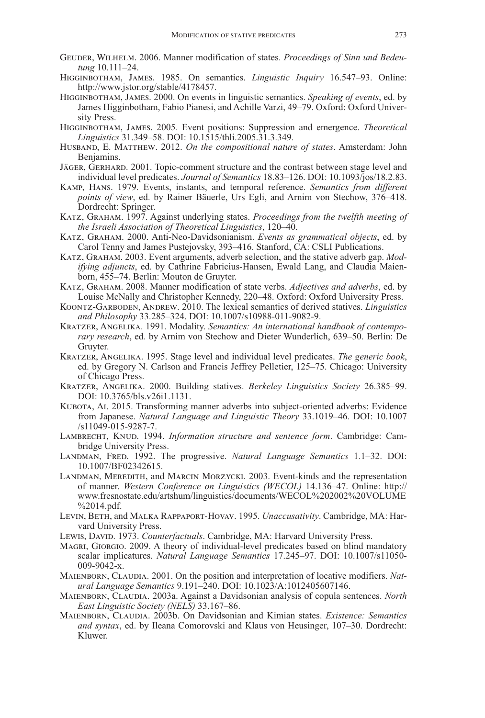- Geuder, Wilhelm. 2006. Manner modification of states. *Proceedings of Sinn und Bedeutung* 10.111–24.
- Higginbotham, James. 1985. On semantics. *Linguistic Inquiry* 16.547–93. Online: http://www.jstor.org/stable/4178457.
- Higginbotham, James. 2000. On events in linguistic semantics. *Speaking of events*, ed. by James Higginbotham, Fabio Pianesi, and Achille Varzi, 49–79. Oxford: Oxford University Press.
- Higginbotham, James. 2005. Event positions: Suppression and emergence. *Theoretical Linguistics* 31.349–58. DOI: [10.1515/thli.2005.31.3.349.](http://dx.doi.org/10.1515/thli.2005.31.3.349)
- Husband, E. Matthew. 2012. *On the compositional nature of states*. Amsterdam: John Benjamins.
- Jäger, Gerhard. 2001. Topic-comment structure and the contrast between stage level and individual level predicates. *Journal of Semantics* 18.83–126. DOI: [10.1093/jos/18.2.83.](http://dx.doi.org/10.1093/jos/18.2.83)
- Kamp, Hans. 1979. Events, instants, and temporal reference. *Semantics from different points of view*, ed. by Rainer Bäuerle, Urs Egli, and Arnim von Stechow, 376–418. Dordrecht: Springer.
- Katz, Graham. 1997. Against underlying states. *Proceedings from the twelfth meeting of the Israeli Association of Theoretical Linguistics*, 120–40.
- Katz, Graham. 2000. Anti-Neo-Davidsonianism. *Events as grammatical objects*, ed. by Carol Tenny and James Pustejovsky, 393–416. Stanford, CA: CSLI Publications.
- Katz, Graham. 2003. Event arguments, adverb selection, and the stative adverb gap. *Modifying adjuncts*, ed. by Cathrine Fabricius-Hansen, Ewald Lang, and Claudia Maienborn, 455–74. Berlin: Mouton de Gruyter.
- Katz, Graham. 2008. Manner modification of state verbs. *Adjectives and adverbs*, ed. by Louise McNally and Christopher Kennedy, 220–48. Oxford: Oxford University Press.
- Koontz-Garboden, Andrew. 2010. The lexical semantics of derived statives. *Linguistics and Philosophy* 33.285–324. DOI: [10.1007/s10988-011-9082-9.](http://dx.doi.org/10.1007/s10988-011-9082-9)
- Kratzer, Angelika. 1991. Modality. *Semantics: An international handbook of contemporary research*, ed. by Arnim von Stechow and Dieter Wunderlich, 639–50. Berlin: De Gruyter.
- Kratzer, Angelika. 1995. Stage level and individual level predicates. *The generic book*, ed. by Gregory N. Carlson and Francis Jeffrey Pelletier, 125–75. Chicago: University of Chicago Press.
- Kratzer, Angelika. 2000. Building statives. *Berkeley Linguistics Society* 26.385–99. DOI: [10.3765/bls.v26i1.1131.](http://dx.doi.org/10.3765/bls.v26i1.1131)
- Kubota, Ai. 2015. Transforming manner adverbs into subject-oriented adverbs: Evidence from Japanese. *Natural Language and Linguistic Theory* 33.1019–46. DOI: [10.1007](http://dx.doi.org/10.1007/s11049-015-9287-7) [/s11049-015-9287-7.](http://dx.doi.org/10.1007/s11049-015-9287-7)
- Lambrecht, Knud. 1994. *Information structure and sentence form*. Cambridge: Cambridge University Press.
- Landman, Fred. 1992. The progressive. *Natural Language Semantics* 1.1–32. DOI: [10.1007/BF02342615.](http://dx.doi.org/10.1007/BF02342615)
- LANDMAN, MEREDITH, and MARCIN MORZYCKI. 2003. Event-kinds and the representation of manner. *Western Conference on Linguistics (WECOL)* 14.136–47. Online: [http://](http://www.fresnostate.edu/artshum/linguistics/documents/WECOL%202002%20VOLUME%2014.pdf) [www.fresnostate.edu/artshum/linguistics/documents/WECOL%202002%20VOLUME](http://www.fresnostate.edu/artshum/linguistics/documents/WECOL%202002%20VOLUME%2014.pdf) [%2014.pdf.](http://www.fresnostate.edu/artshum/linguistics/documents/WECOL%202002%20VOLUME%2014.pdf)
- Levin, Beth, and Malka Rappaport-Hovav. 1995. *Unaccusativity*. Cambridge, MA: Harvard University Press.
- Lewis, Davin. 1973. *Counterfactuals*. Cambridge, MA: Harvard University Press.
- Magri, Giorgio. 2009. A theory of individual-level predicates based on blind mandatory scalar implicatures. *Natural Language Semantics* 17.245–97. DOI: [10.1007/s11050-](http://dx.doi.org/10.1007/s11050-009-9042-x) [009-9042-x.](http://dx.doi.org/10.1007/s11050-009-9042-x)
- MAIENBORN, CLAUDIA. 2001. On the position and interpretation of locative modifiers. *Natural Language Semantics* 9.191–240. DOI: [10.1023/A:1012405607146.](http://dx.doi.org/10.1023/A:1012405607146)
- Maienborn, Claudia. 2003a. Against a Davidsonian analysis of copula sentences. *North East Linguistic Society (NELS)* 33.167–86.
- Maienborn, Claudia. 2003b. On Davidsonian and Kimian states. *Existence: Semantics and syntax*, ed. by Ileana Comorovski and Klaus von Heusinger, 107–30. Dordrecht: Kluwer.